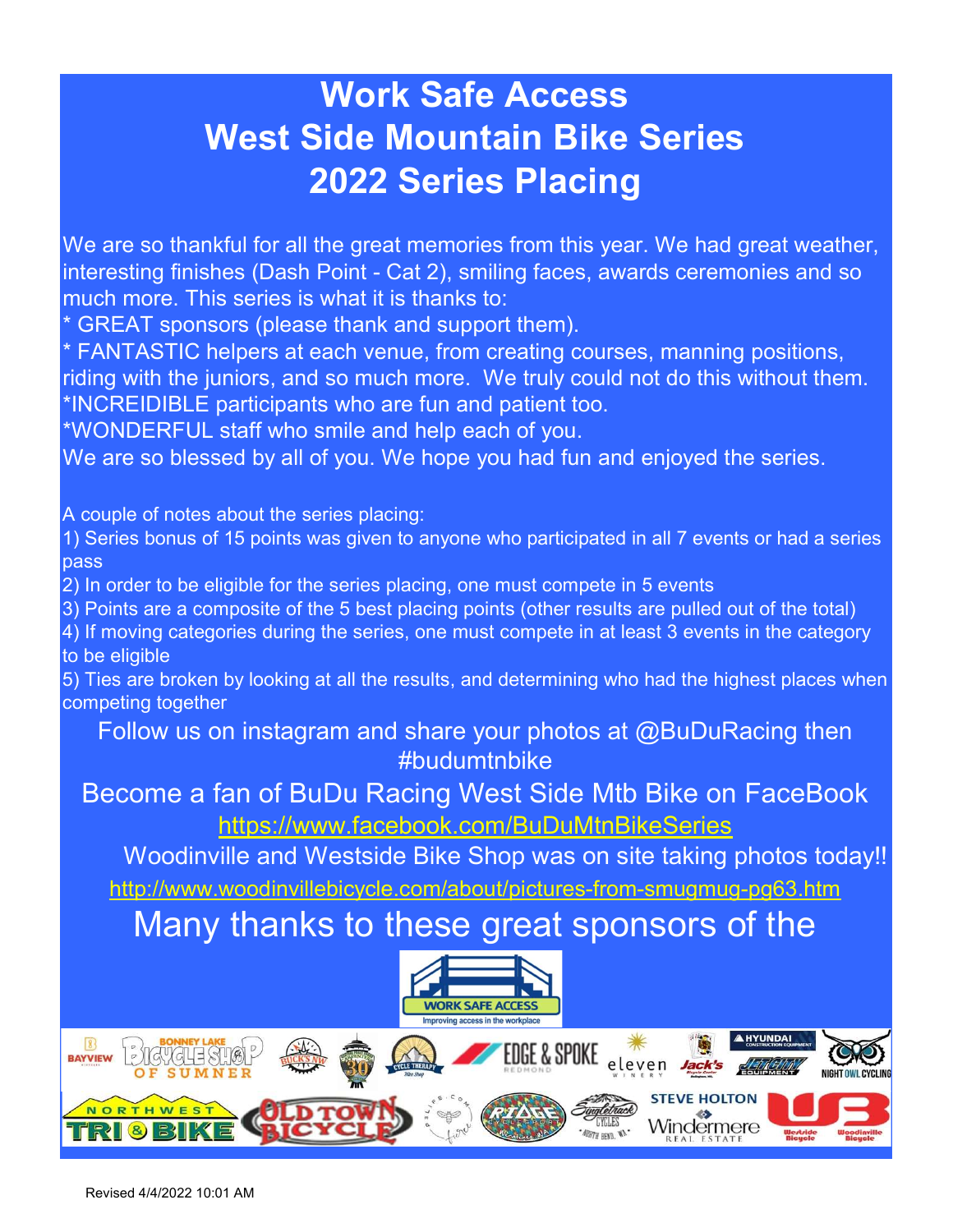# Work Safe Access West Side Mountain Bike Series 2022 Series Placing

We are so thankful for all the great memories from this year. We had great weather, interesting finishes (Dash Point - Cat 2), smiling faces, awards ceremonies and so much more. This series is what it is thanks to:

\* GREAT sponsors (please thank and support them).

\* FANTASTIC helpers at each venue, from creating courses, manning positions, riding with the juniors, and so much more. We truly could not do this without them. \*INCREIDIBLE participants who are fun and patient too.

\*WONDERFUL staff who smile and help each of you.

We are so blessed by all of you. We hope you had fun and enjoyed the series.

A couple of notes about the series placing:

1) Series bonus of 15 points was given to anyone who participated in all 7 events or had a series pass

2) In order to be eligible for the series placing, one must compete in 5 events

3) Points are a composite of the 5 best placing points (other results are pulled out of the total)

4) If moving categories during the series, one must compete in at least 3 events in the category to be eligible

5) Ties are broken by looking at all the results, and determining who had the highest places when competing together

Follow us on instagram and share your photos at @BuDuRacing then #budumtnbike

Become a fan of BuDu Racing West Side Mtb Bike on FaceBook https://www.facebook.com/BuDuMtnBikeSeries

http://www.woodinvillebicycle.com/about/pictures-from-smugmug-pg63.htm Woodinville and Westside Bike Shop was on site taking photos today!!

Many thanks to these great sponsors of the



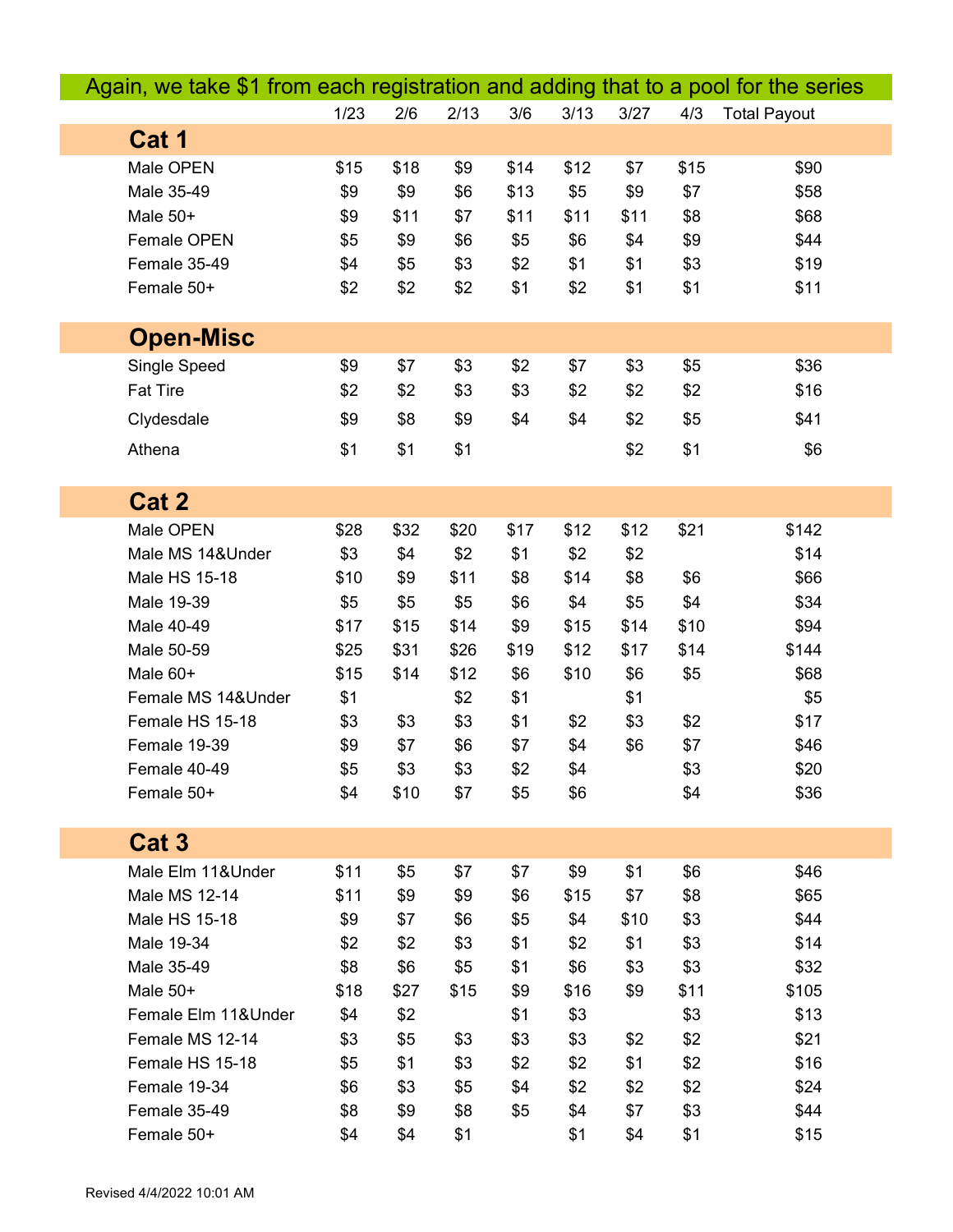| Again, we take \$1 from each registration and adding that to a pool for the series |      |      |      |      |      |      |      |                     |
|------------------------------------------------------------------------------------|------|------|------|------|------|------|------|---------------------|
|                                                                                    | 1/23 | 2/6  | 2/13 | 3/6  | 3/13 | 3/27 | 4/3  | <b>Total Payout</b> |
| Cat 1                                                                              |      |      |      |      |      |      |      |                     |
| Male OPEN                                                                          | \$15 | \$18 | \$9  | \$14 | \$12 | \$7  | \$15 | \$90                |
| Male 35-49                                                                         | \$9  | \$9  | \$6  | \$13 | \$5  | \$9  | \$7  | \$58                |
| Male 50+                                                                           | \$9  | \$11 | \$7  | \$11 | \$11 | \$11 | \$8  | \$68                |
| Female OPEN                                                                        | \$5  | \$9  | \$6  | \$5  | \$6  | \$4  | \$9  | \$44                |
| Female 35-49                                                                       | \$4  | \$5  | \$3  | \$2  | \$1  | \$1  | \$3  | \$19                |
| Female 50+                                                                         | \$2  | \$2  | \$2  | \$1  | \$2  | \$1  | \$1  | \$11                |
|                                                                                    |      |      |      |      |      |      |      |                     |
| <b>Open-Misc</b>                                                                   |      |      |      |      |      |      |      |                     |
| Single Speed                                                                       | \$9  | \$7  | \$3  | \$2  | \$7  | \$3  | \$5  | \$36                |
| <b>Fat Tire</b>                                                                    | \$2  | \$2  | \$3  | \$3  | \$2  | \$2  | \$2  | \$16                |
| Clydesdale                                                                         | \$9  | \$8  | \$9  | \$4  | \$4  | \$2  | \$5  | \$41                |
| Athena                                                                             | \$1  | \$1  | \$1  |      |      | \$2  | \$1  | \$6                 |
|                                                                                    |      |      |      |      |      |      |      |                     |
| Cat 2                                                                              |      |      |      |      |      |      |      |                     |
| Male OPEN                                                                          | \$28 | \$32 | \$20 | \$17 | \$12 | \$12 | \$21 | \$142               |
| Male MS 14&Under                                                                   | \$3  | \$4  | \$2  | \$1  | \$2  | \$2  |      | \$14                |
| Male HS 15-18                                                                      | \$10 | \$9  | \$11 | \$8  | \$14 | \$8  | \$6  | \$66                |
| Male 19-39                                                                         | \$5  | \$5  | \$5  | \$6  | \$4  | \$5  | \$4  | \$34                |
| Male 40-49                                                                         | \$17 | \$15 | \$14 | \$9  | \$15 | \$14 | \$10 | \$94                |
| Male 50-59                                                                         | \$25 | \$31 | \$26 | \$19 | \$12 | \$17 | \$14 | \$144               |
| Male 60+                                                                           | \$15 | \$14 | \$12 | \$6  | \$10 | \$6  | \$5  | \$68                |
| Female MS 14&Under                                                                 | \$1  |      | \$2  | \$1  |      | \$1  |      | \$5                 |
| Female HS 15-18                                                                    | \$3  | \$3  | \$3  | \$1  | \$2  | \$3  | \$2  | \$17                |
| Female 19-39                                                                       | \$9  | \$7  | \$6  | \$7  | \$4  | \$6  | \$7  | \$46                |
| Female 40-49                                                                       | \$5  | \$3  | \$3  | \$2  | \$4  |      | \$3  | \$20                |
| Female 50+                                                                         | \$4  | \$10 | \$7  | \$5  | \$6  |      | \$4  | \$36                |
|                                                                                    |      |      |      |      |      |      |      |                     |
| Cat <sub>3</sub>                                                                   |      |      |      |      |      |      |      |                     |
| Male Elm 11&Under                                                                  | \$11 | \$5  | \$7  | \$7  | \$9  | \$1  | \$6  | \$46                |
| Male MS 12-14                                                                      | \$11 | \$9  | \$9  | \$6  | \$15 | \$7  | \$8  | \$65                |
| Male HS 15-18                                                                      | \$9  | \$7  | \$6  | \$5  | \$4  | \$10 | \$3  | \$44                |
| Male 19-34                                                                         | \$2  | \$2  | \$3  | \$1  | \$2  | \$1  | \$3  | \$14                |
| Male 35-49                                                                         | \$8  | \$6  | \$5  | \$1  | \$6  | \$3  | \$3  | \$32                |
| Male 50+                                                                           | \$18 | \$27 | \$15 | \$9  | \$16 | \$9  | \$11 | \$105               |
| Female Elm 11& Under                                                               | \$4  | \$2  |      | \$1  | \$3  |      | \$3  | \$13                |
| Female MS 12-14                                                                    | \$3  | \$5  | \$3  | \$3  | \$3  | \$2  | \$2  | \$21                |
| Female HS 15-18                                                                    | \$5  | \$1  | \$3  | \$2  | \$2  | \$1  | \$2  | \$16                |
| Female 19-34                                                                       | \$6  | \$3  | \$5  | \$4  | \$2  | \$2  | \$2  | \$24                |
| Female 35-49                                                                       | \$8  | \$9  | \$8  | \$5  | \$4  | \$7  | \$3  | \$44                |
| Female 50+                                                                         | \$4  | \$4  | \$1  |      | \$1  | \$4  | \$1  | \$15                |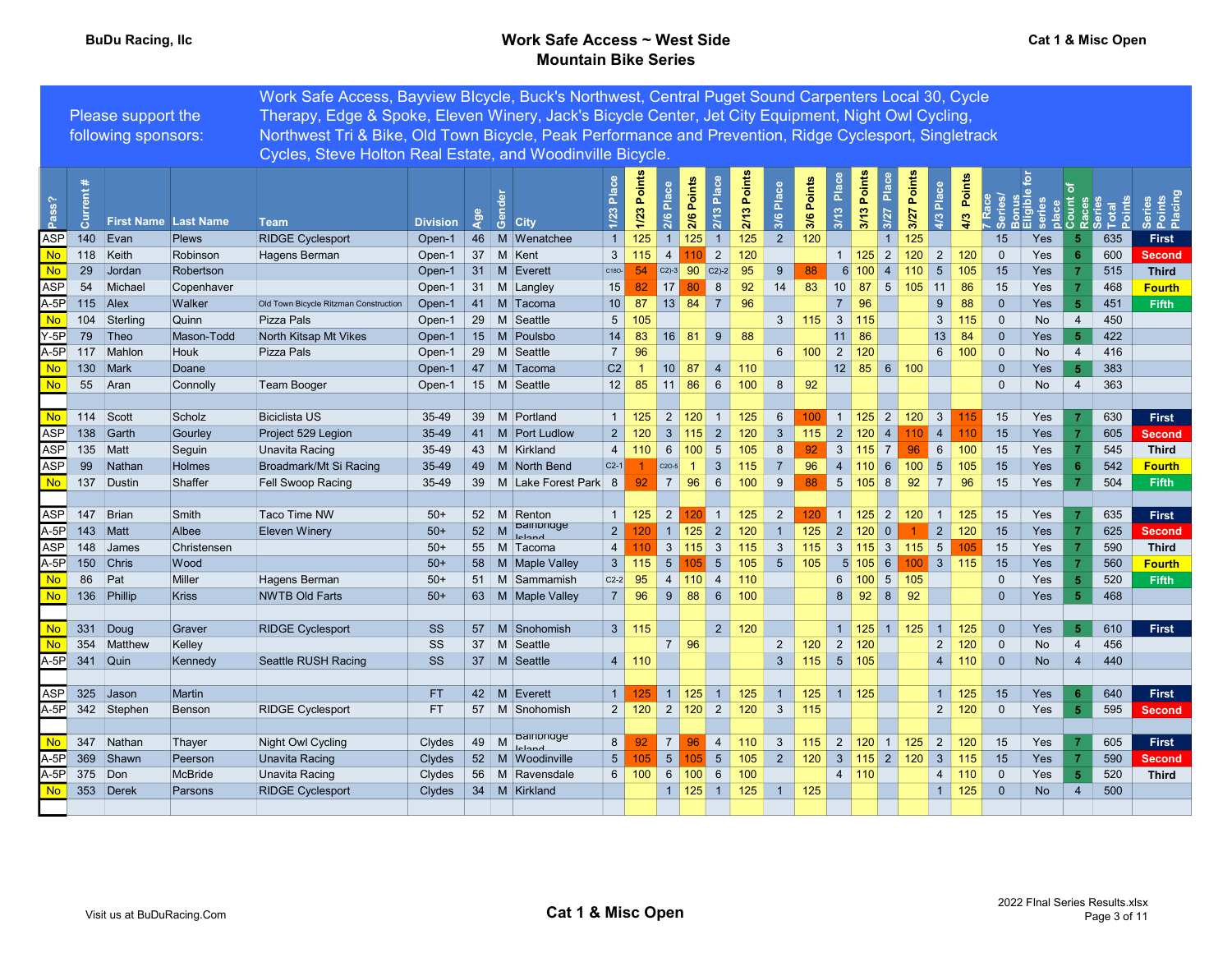### BuDu Racing, Ilc **BuDu Racing, Ilc** Work Safe Access ~ West Side Mountain Bike Series

|                 |            |                             |                | Work Safe Access, Bayview Blcycle, Buck's Northwest, Central Puget Sound Carpenters Local 30, Cycle    |                 |     |                                |                    |                   |                |                                          |                 |              |                 |                   |                          |                       |                          |                                                                                 |                 |                  |                |                                                                                                                 |                |     |                             |
|-----------------|------------|-----------------------------|----------------|--------------------------------------------------------------------------------------------------------|-----------------|-----|--------------------------------|--------------------|-------------------|----------------|------------------------------------------|-----------------|--------------|-----------------|-------------------|--------------------------|-----------------------|--------------------------|---------------------------------------------------------------------------------|-----------------|------------------|----------------|-----------------------------------------------------------------------------------------------------------------|----------------|-----|-----------------------------|
|                 |            | Please support the          |                | Therapy, Edge & Spoke, Eleven Winery, Jack's Bicycle Center, Jet City Equipment, Night Owl Cycling,    |                 |     |                                |                    |                   |                |                                          |                 |              |                 |                   |                          |                       |                          |                                                                                 |                 |                  |                |                                                                                                                 |                |     |                             |
|                 |            | following sponsors:         |                | Northwest Tri & Bike, Old Town Bicycle, Peak Performance and Prevention, Ridge Cyclesport, Singletrack |                 |     |                                |                    |                   |                |                                          |                 |              |                 |                   |                          |                       |                          |                                                                                 |                 |                  |                |                                                                                                                 |                |     |                             |
|                 |            |                             |                | Cycles, Steve Holton Real Estate, and Woodinville Bicycle.                                             |                 |     |                                |                    |                   |                |                                          |                 |              |                 |                   |                          |                       |                          |                                                                                 |                 |                  |                |                                                                                                                 |                |     |                             |
| ass?            | Current    | <b>First Name Last Name</b> |                | <b>Team</b>                                                                                            | <b>Division</b> | ್ನಿ | සී<br><b>City</b>              | Place<br>1/23      | Points<br>1/23    | 2/6 Place      | 2/6 Points                               | Place<br>2/13   | 2/13 Points  | Place<br>3/6    | 3/6 Points        | 3/13 Plac                | Points<br>3/13        | 3/27 Place               | Points<br>3/27                                                                  | Place<br>4/3    | Points<br>4/3    |                | <b>The Second Second Second</b><br><b>CONSECTED</b><br><b>CONSECTED</b><br><b>CONSECTED</b><br><b>CONSECTED</b> |                |     | Series<br>Points<br>Placing |
| ASP             | 140        | Evan                        | <b>Plews</b>   | <b>RIDGE Cyclesport</b>                                                                                | Open-1          |     | 46   M   Wenatchee             | $\overline{1}$     | 125               |                | 1   125                                  | $\overline{1}$  | 125          | $\overline{2}$  | 120               |                          |                       | $\overline{1}$           | 125                                                                             |                 |                  | 15             | Yes                                                                                                             | $\sqrt{5}$     | 635 | <b>First</b>                |
| N <sub>o</sub>  | 118 Keith  |                             | Robinson       | Hagens Berman                                                                                          | Open-1          |     | 37 M Kent                      | $\mathbf{3}$       | 115               | $\overline{4}$ |                                          | $\overline{2}$  | 120          |                 |                   |                          | $1 \vert 125 \vert 2$ |                          | 120                                                                             |                 | $2 \mid 120$     | $\overline{0}$ | Yes                                                                                                             |                | 600 | <b>Second</b>               |
| <b>No</b>       | 29         | Jordan                      | Robertson      |                                                                                                        | Open-1          |     | 31 M Everett                   | C <sub>180</sub> - | 54                |                | C <sub>2</sub> )-3 90 C <sub>2</sub> )-2 |                 | 95           | 9 <sup>°</sup>  | 88                |                          | 6 100                 | $\overline{4}$           | 110                                                                             | 5 <sup>5</sup>  | 105              | 15             | Yes                                                                                                             |                | 515 | <b>Third</b>                |
| <b>ASP</b>      | 54         | Michael                     | Copenhaver     |                                                                                                        | Open-1          |     | 31 M Langley                   | 15                 | 82                | 17             | 80                                       | 8               | 92           | 14              | 83                |                          | $10 \vert 87$         |                          | $5 \mid 105$                                                                    | 11              | 86               | 15             | Yes                                                                                                             |                | 468 | <b>Fourth</b>               |
| A-5P            | $115$ Alex |                             | Walker         | Old Town Bicycle Ritzman Construction                                                                  | Open-1          |     | 41   M   Tacoma                | 10                 | 87                |                |                                          |                 | 96           |                 |                   | $\overline{7}$           | 96                    |                          |                                                                                 | 9               | 88               | $\overline{0}$ | Yes                                                                                                             | $\overline{5}$ | 451 | Fifth                       |
| <b>No</b>       | 104        | Sterling                    | Quinn          | Pizza Pals                                                                                             | Open-1          |     | 29   M Seattle                 | 5 <sup>5</sup>     | 105               |                |                                          |                 |              | $\mathbf{3}$    | $\vert$ 115       |                          | $3 \mid 115$          |                          |                                                                                 |                 | 3   115          | $\overline{0}$ | No                                                                                                              | $\overline{4}$ | 450 |                             |
| $Y-5P$          | 79         | $ $ Theo                    | Mason-Todd     | North Kitsap Mt Vikes                                                                                  | Open-1          |     | $15 \mid M$<br>Poulsbo         | 14                 | 83                |                | 16 81 9                                  |                 | 88           |                 |                   |                          | $11 \vert 86$         |                          |                                                                                 | 13              | 84               | $\overline{0}$ | Yes                                                                                                             | 5              | 422 |                             |
| A-5P            | 117        | Mahlon                      | Houk           | Pizza Pals                                                                                             | Open-1          |     | 29 M Seattle                   | $\overline{7}$     | 96                |                |                                          |                 |              | 6 <sup>1</sup>  | 100               |                          | $2 \mid 120$          |                          |                                                                                 |                 | 6   100          | $\overline{0}$ | No                                                                                                              | $\overline{4}$ | 416 |                             |
| <b>No</b>       |            | 130 Mark                    | Doane          |                                                                                                        | Open-1          |     | 47   M Tacoma                  | C <sub>2</sub>     | $\overline{1}$    |                | $10$ 87 4                                |                 | 110          |                 |                   |                          |                       |                          | $12 \ 85 \ 6 \ 100$                                                             |                 |                  | $\mathbf{0}$   | Yes                                                                                                             | 5 <sub>5</sub> | 383 |                             |
| <b>No</b>       | 55         | Aran                        | Connolly       | Team Booger                                                                                            | Open-1          |     | 15 M Seattle                   | 12                 | 85                |                | $11 \t86 \t6$                            |                 | 100          | 8               | 92                |                          |                       |                          |                                                                                 |                 |                  | $\mathbf{0}$   | <b>No</b>                                                                                                       | $\overline{4}$ | 363 |                             |
|                 |            |                             |                |                                                                                                        |                 |     |                                |                    |                   |                |                                          |                 |              |                 |                   |                          |                       |                          |                                                                                 |                 |                  |                |                                                                                                                 |                |     |                             |
| <b>No</b>       | 114 Scott  |                             | Scholz         | <b>Biciclista US</b>                                                                                   | 35-49           |     | 39 M Portland                  | $1 \vert$          | 125               |                | $2 \mid 120 \mid$                        | $\vert$ 1       | 125          | $6\phantom{.}6$ | 100               | $\overline{1}$           |                       |                          | $125$ 2 120                                                                     | $3^{\circ}$     |                  | 15             | Yes                                                                                                             |                | 630 | First                       |
| <b>ASP</b>      |            | 138 Garth                   | Gourley        | Project 529 Legion                                                                                     | 35-49           |     | 41   M   Port Ludlow           | $2^{\circ}$        | 120               | $\mathbf{3}$   | 115                                      | 2 <sup>1</sup>  | 120          | $\mathbf{3}$    | 115               |                          | 2 120                 | 4                        | $110$ 4                                                                         |                 | 110 <sup>°</sup> | 15             | Yes                                                                                                             |                | 605 | <b>Second</b>               |
| ASP             | 135        | Matt                        | Seguin         | Unavita Racing                                                                                         | 35-49           |     | 43 M Kirkland                  | $\overline{4}$     |                   |                | $110 \ 6 \ 100$                          | 5               | 105          | $8\phantom{1}$  | 92                |                          | $3 \mid 115 \mid 7$   |                          | 96                                                                              |                 | 6   100          | 15             | Yes                                                                                                             |                | 545 | <b>Third</b>                |
| <b>ASP</b>      | 99         | Nathar                      | Holmes         | Broadmark/Mt Si Racing                                                                                 | 35-49           |     | 49   M   North Bend            | $C2-1$             |                   | $C2O-5$        | $\overline{1}$                           | 3 <sup>1</sup>  | 115          | $\overline{7}$  | 96                |                          |                       |                          | $4$ 110 6 100                                                                   | $5^{\circ}$     | 105              | 15             | Yes                                                                                                             |                | 542 | <b>Fourth</b>               |
| <b>No</b>       |            | 137 Dustin                  | Shaffer        | Fell Swoop Racing                                                                                      | 35-49           |     | 39   M Lake Forest Park   8    |                    | 92                |                | 7 96 6                                   |                 | 100          | 9               | 88                | $5 \mid 105 \mid 8 \mid$ |                       |                          | 92                                                                              | $\overline{7}$  | 96               | 15             | Yes                                                                                                             |                | 504 | <b>Fifth</b>                |
|                 |            |                             |                |                                                                                                        |                 |     |                                |                    |                   |                |                                          |                 |              |                 |                   |                          |                       |                          |                                                                                 |                 |                  |                |                                                                                                                 |                |     |                             |
| <b>ASP</b>      | 147        | Brian                       | Smith          | Taco Time NW                                                                                           | $50+$           |     | 52 M Renton                    |                    | 1   125           | 2              | 120 <sub>1</sub>                         | $\overline{1}$  | 125          | $\overline{2}$  | 120               |                          |                       |                          | $1 \mid 125 \mid 2 \mid 120$                                                    | $\overline{1}$  | 125              | 15             | Yes                                                                                                             |                | 635 | First                       |
| $A-5P$          | 143        | Matt                        | Albee          | <b>Eleven Winery</b>                                                                                   | $50+$           | 52  | <b>Balnongge</b><br>M          | $2^{\circ}$        | 120               |                | $\vert$ 1   125                          | 2               | 120          | 1               | 125               |                          |                       | 2 120 0                  | $\blacktriangleleft$                                                            |                 |                  | 15             | Yes                                                                                                             |                | 625 | <b>Second</b>               |
| <b>ASP</b>      | 148        | James                       | Christensen    |                                                                                                        | $50+$           |     | <b>Inland</b><br>55   M Tacoma | $\overline{4}$     | 110               |                | 3   115                                  | $\mathbf{3}$    | 115          | $\mathbf{3}$    | 115               |                          |                       |                          | 3   115   3   115                                                               | $5\overline{)}$ | 105              | 15             | Yes                                                                                                             |                | 590 | <b>Third</b>                |
| $A-5P$          | 150 Chris  |                             | Wood           |                                                                                                        | $50+$           |     | 58   M   Maple Valley          |                    | $3 \mid 115 \mid$ | 5 <sup>1</sup> | 405 <sub>z</sub>                         | $5\overline{5}$ | 105          | 5 <sup>5</sup>  | 105               |                          |                       | $5 \mid 105 \mid 6 \mid$ |                                                                                 |                 | $100 \t3 \t115$  | 15             | Yes                                                                                                             |                | 560 | <b>Fourth</b>               |
| <b>No</b>       | 86         | Pat                         | Miller         | Hagens Berman                                                                                          | $50+$           |     | 51   M Sammamish               | $C2-2$             | 95                |                | 4 110 4 110                              |                 |              |                 |                   |                          |                       |                          | $6 \mid 100 \mid 5 \mid 105$                                                    |                 |                  | $\Omega$       | Yes                                                                                                             |                | 520 | Fifth                       |
| No              |            | 136 Phillip                 | <b>Kriss</b>   | <b>NWTB Old Farts</b>                                                                                  | $50+$           |     | 63   M   Maple Valley          |                    | $7 \vert 96$      |                | 9886100                                  |                 |              |                 |                   |                          |                       | 8 92 8 92                |                                                                                 |                 |                  | $\overline{0}$ | Yes                                                                                                             | 5              | 468 |                             |
|                 |            |                             |                |                                                                                                        |                 |     |                                |                    |                   |                |                                          |                 |              |                 |                   |                          |                       |                          |                                                                                 |                 |                  |                |                                                                                                                 |                |     |                             |
| <b>No</b>       | $331$ Doug |                             | Graver         | <b>RIDGE Cyclesport</b>                                                                                | SS              |     | 57 M Snohomish                 |                    | $3 \mid 115$      |                |                                          |                 | $2 \mid 120$ |                 |                   |                          |                       |                          | $1 \mid 125 \mid 1 \mid 125$                                                    |                 | 1   125          | $\overline{0}$ | Yes                                                                                                             | 5              | 610 | <b>First</b>                |
| <b>No</b>       | 354        | Matthew                     | Kelley         |                                                                                                        | SS              |     | 37 M Seattle                   |                    |                   | <b>7</b>       | 96                                       |                 |              | $\overline{2}$  | 120               |                          | $2 \mid 120$          |                          |                                                                                 | 2               | 120              | $\overline{0}$ | No                                                                                                              | $\overline{4}$ | 456 |                             |
| $A-5P$          | 341 Quin   |                             | Kennedy        | Seattle RUSH Racing                                                                                    | SS              |     | 37   M Seattle                 |                    | $4 \mid 110$      |                |                                          |                 |              | 3 <sup>2</sup>  | $115$ 5 105       |                          |                       |                          |                                                                                 | $4 \mid$        | 110              | $\overline{0}$ | <b>No</b>                                                                                                       | $\overline{4}$ | 440 |                             |
|                 |            |                             |                |                                                                                                        |                 |     |                                |                    |                   |                |                                          |                 |              |                 |                   |                          |                       |                          |                                                                                 |                 |                  |                |                                                                                                                 |                |     |                             |
| ASP             | 325        | Jason                       | Martin         |                                                                                                        | FT.             |     | 42   M Everett                 | 1                  | 125               |                | $\vert$ 1   125                          | $1 \mid 125$    |              | $\overline{1}$  | 125               |                          | 1   125               |                          |                                                                                 | $\overline{1}$  | 125              | 15             | Yes                                                                                                             | 6              | 640 | First                       |
| $A-5P$          |            | 342 Stephen                 | Benson         | <b>RIDGE Cyclesport</b>                                                                                | FT.             |     | 57   M Snohomish               |                    |                   |                | 2   120   2   120   2                    |                 | 120          | $\mathbf{3}$    | 115               |                          |                       |                          |                                                                                 | 2 <sup>1</sup>  | 120              | $\overline{0}$ | Yes                                                                                                             | 5 <sub>5</sub> | 595 | <b>Second</b>               |
|                 |            |                             |                |                                                                                                        |                 |     |                                |                    |                   |                |                                          |                 |              |                 |                   |                          |                       |                          |                                                                                 |                 |                  |                |                                                                                                                 |                |     |                             |
| <b>No</b>       |            | 347 Nathan                  | Thayer         | Night Owl Cycling                                                                                      | Clydes          |     | <b>Balnpridge</b><br>49 M      | 8                  | 92                | <b>7</b>       | 96                                       | $\overline{4}$  | 110          | $\mathbf{3}$    | 115               |                          |                       |                          | $\begin{array}{ c c c c c c c c c } \hline 2 & 120 & 1125 \ \hline \end{array}$ | 2               | 120              | 15             | Yes                                                                                                             |                | 605 | First                       |
| $A-5P$          |            | 369 Shawn                   | Peerson        | <b>Unavita Racing</b>                                                                                  | Clydes          |     | 52   M   Woodinville           | 5 <sup>5</sup>     | 105               | 5 <sup>1</sup> | 105                                      | 5 <sup>5</sup>  | 105          | $2^{\circ}$     | $120$ 3 115 2 120 |                          |                       |                          |                                                                                 |                 | $3 \mid 115$     | 15             | Yes                                                                                                             |                | 590 | <b>Second</b>               |
| $A-5P$          | 375 Don    |                             | <b>McBride</b> | Unavita Racing                                                                                         | Clydes          |     | 56   M Ravensdale              |                    |                   |                | 6   100   6   100                        | 6               | 100          |                 |                   |                          | 4   110               |                          |                                                                                 |                 | 4 110            | $\overline{0}$ | Yes                                                                                                             | 5              | 520 | <b>Third</b>                |
| No <sub>1</sub> |            | 353 Derek                   | Parsons        | <b>RIDGE Cyclesport</b>                                                                                | Clydes          |     | 34 M Kirkland                  |                    |                   |                | $1 \mid 125 \mid 1 \mid 125$             |                 |              |                 | $1 \mid 125$      |                          |                       |                          |                                                                                 | 1 <sup>1</sup>  | 125              | $\overline{0}$ | <b>No</b>                                                                                                       | $\overline{4}$ | 500 |                             |
|                 |            |                             |                |                                                                                                        |                 |     |                                |                    |                   |                |                                          |                 |              |                 |                   |                          |                       |                          |                                                                                 |                 |                  |                |                                                                                                                 |                |     |                             |
|                 |            |                             |                |                                                                                                        |                 |     |                                |                    |                   |                |                                          |                 |              |                 |                   |                          |                       |                          |                                                                                 |                 |                  |                |                                                                                                                 |                |     |                             |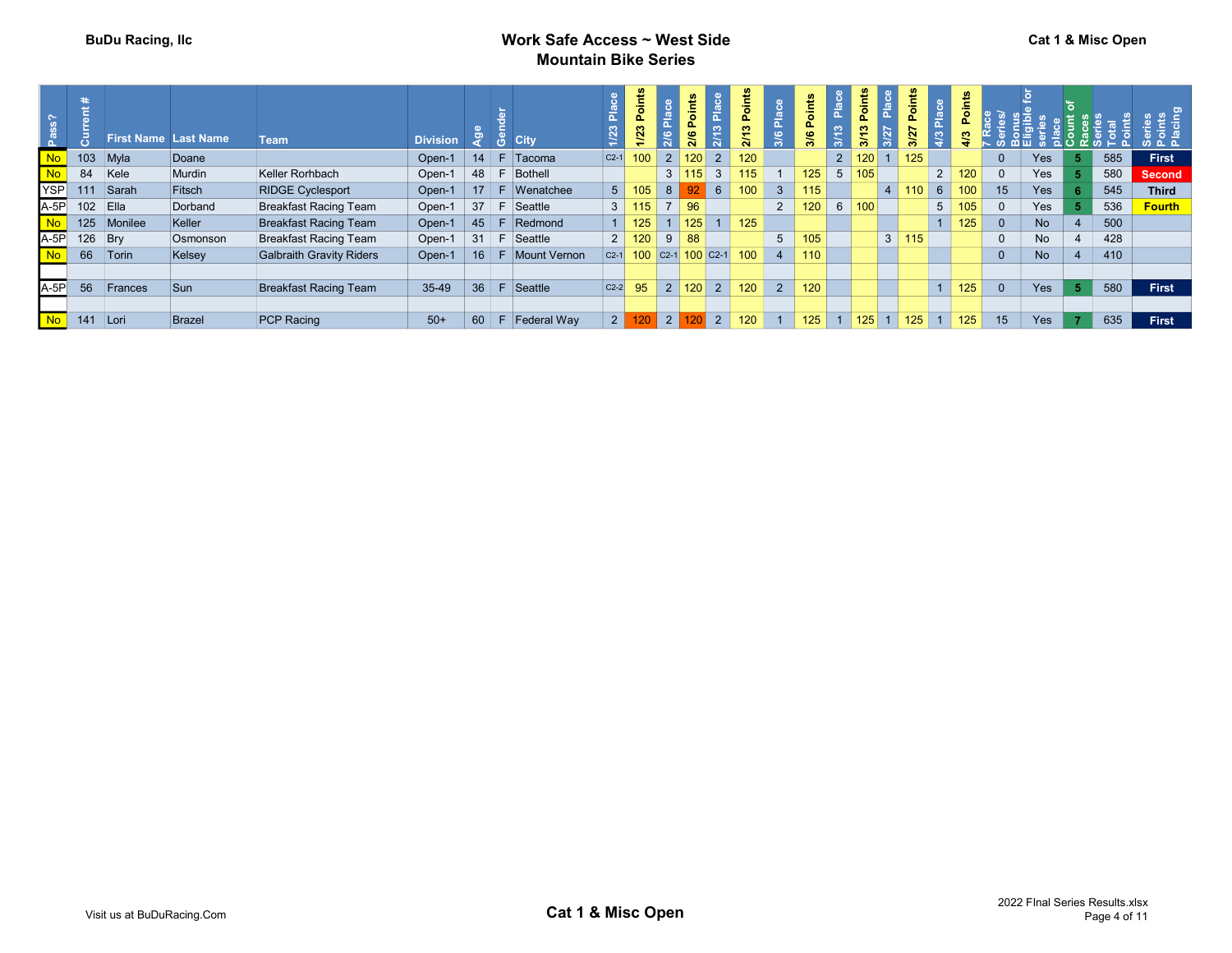## BuDu Racing, IIc **BuDu Racing, IIc** Work Safe Access ~ West Side Mountain Bike Series

| ີທ             |            |             | <b>First Name Last Name</b> | <b>Team</b>              | <b>Division</b> |    | <b>City</b>         |                | ட<br>1/23        |                 | int.<br>Ö<br>$\mathbf{a}$<br>2/6 |                | ௳   |                 | $\frac{1}{2}$<br>3/6 | W                   | oint<br>⊾<br>ë, |                | oint<br>Δ.<br>2 | $\frac{a}{b}$  |     |                |           |    |     |               |
|----------------|------------|-------------|-----------------------------|--------------------------|-----------------|----|---------------------|----------------|------------------|-----------------|----------------------------------|----------------|-----|-----------------|----------------------|---------------------|-----------------|----------------|-----------------|----------------|-----|----------------|-----------|----|-----|---------------|
|                |            | $103$ Myla  | Doane                       |                          | Open-1          | 14 | ŏ<br>$F$ Tacoma     | $C2-1$         | 100 <sub>1</sub> |                 | $2   120  $                      | 2 <sup>1</sup> | 120 |                 |                      |                     | 2   120         |                | 125             |                |     | $\Omega$       | Yes       |    | 585 | <b>First</b>  |
| <b>No</b>      | 84         | Kele        | Murdin                      | Keller Rorhbach          | Open-1          | 48 | F Bothell           |                |                  |                 | 3 115                            | 3 <sup>1</sup> | 115 |                 | 125                  | $5^{\circ}$         | 105             |                |                 | 2              | 120 | $\overline{0}$ | Yes       |    | 580 | <b>Second</b> |
|                |            |             |                             |                          |                 |    |                     |                |                  | 8 <sup>1</sup>  |                                  | $92 \ 6$       |     |                 |                      |                     |                 |                |                 |                |     |                |           |    |     |               |
| <b>YSP</b>     | 111        | Sarah       | Fitsch                      | <b>RIDGE Cyclesport</b>  | Open-1          | 17 | F Wenatchee         |                | $5 \mid 105$     |                 |                                  |                | 100 | 3 <sup>1</sup>  | 115                  |                     |                 |                | 110             | $6^{\circ}$    | 100 | 15             | Yes       |    | 545 | <b>Third</b>  |
| $A-5P$         | $102$ Ella |             | Dorband                     | Breakfast Racing Team    | Open-1          |    | $37 \mid F$ Seattle | 3 <sup>1</sup> | 115              |                 | 96                               |                |     | $2^{\circ}$     | 120 <sup>1</sup>     | 6 100               |                 |                |                 | 5 <sub>5</sub> | 105 | $\overline{0}$ | Yes       |    | 536 | <b>Fourth</b> |
| <b>No</b>      |            | 125 Monilee | Keller                      | Breakfast Racing Team    | Open-1          | 45 | F Redmond           |                | 1   125          |                 | 125                              | 1 <sup>1</sup> | 125 |                 |                      |                     |                 |                |                 |                | 125 | $\overline{0}$ | <b>No</b> |    | 500 |               |
| $A-5P$         | 126        | Bry         | Osmonson                    | Breakfast Racing Team    | Open-1          | 31 | -F.<br>Seattle      | $2^{\circ}$    | 120              | 9 <sup>1</sup>  | 88                               |                |     | $5\overline{)}$ | 105 <sub>1</sub>     |                     |                 | $\mathbf{3}$   | 115             |                |     | $\overline{0}$ | No        |    | 428 |               |
| <b>No</b>      |            | 66 Torin    | Kelsey                      | Galbraith Gravity Riders | Open-1          | 16 | Mount Vernon<br>-F. | $C2-1$         |                  |                 | 100 $C_2$ -1 100 $C_2$ -1        |                | 100 | $\overline{4}$  | 110                  |                     |                 |                |                 |                |     | $\mathbf{0}$   | <b>No</b> |    | 410 |               |
|                |            |             |                             |                          |                 |    |                     |                |                  |                 |                                  |                |     |                 |                      |                     |                 |                |                 |                |     |                |           |    |     |               |
| $A-5P$         | 56         | Frances     | Sun                         | Breakfast Racing Team    | 35-49           | 36 | Seattle<br>-F       | $ C2-2 $       | 95               |                 | 2 120                            | 2 <sup>1</sup> | 120 | $2^{\circ}$     | 120                  |                     |                 |                |                 |                | 125 | $\overline{0}$ | Yes       | 5. | 580 | First         |
|                |            |             |                             |                          |                 |    |                     |                |                  |                 |                                  |                |     |                 |                      |                     |                 |                |                 |                |     |                |           |    |     |               |
| N <sub>o</sub> | 141 Lori   |             | Brazel                      | <b>PCP Racing</b>        | $50+$           | 60 | $F$ Federal Way     | 2 <sup>1</sup> |                  | $\vert 2 \vert$ |                                  | $120$ 2        | 120 |                 | 125                  | $1 \vert 125 \vert$ |                 | $\blacksquare$ | 125             |                | 125 | 15             | Yes       |    | 635 | <b>First</b>  |
|                |            |             |                             |                          |                 |    |                     |                |                  |                 |                                  |                |     |                 |                      |                     |                 |                |                 |                |     |                |           |    |     |               |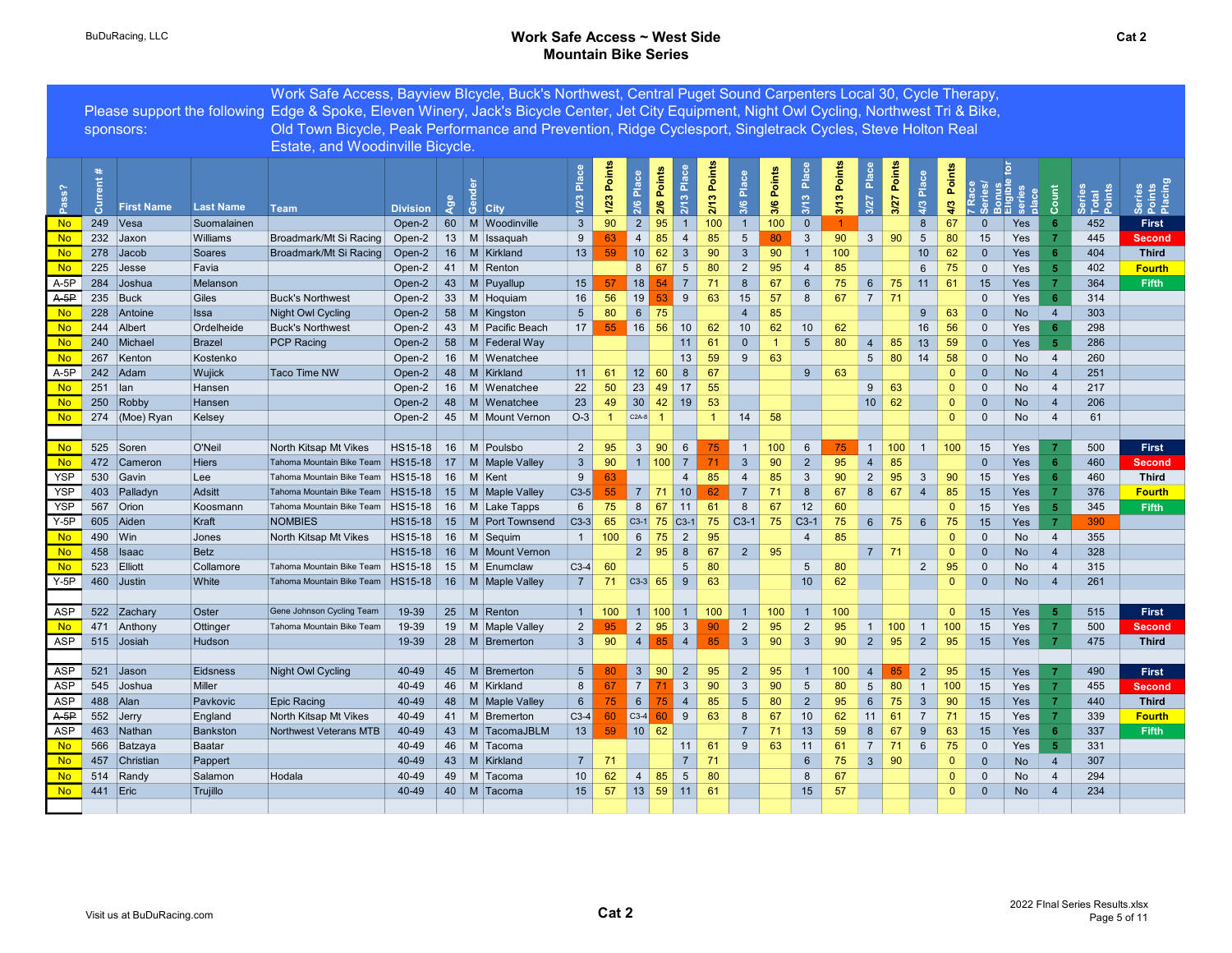### BuDuRacing, LLC **BuDuRacing, LLC** BuDuRacing, LLC Mountain Bike Series

|                        |           |                            |                           | Work Safe Access, Bayview Blcycle, Buck's Northwest, Central Puget Sound Carpenters Local 30, Cycle Therapy,                                  |                     |          |                                                    |                       |                |                                                                        |                     |                 |              |                      |               |                           |             |                 |               |                 |                    |                              |                   |                                  |                           |                             |
|------------------------|-----------|----------------------------|---------------------------|-----------------------------------------------------------------------------------------------------------------------------------------------|---------------------|----------|----------------------------------------------------|-----------------------|----------------|------------------------------------------------------------------------|---------------------|-----------------|--------------|----------------------|---------------|---------------------------|-------------|-----------------|---------------|-----------------|--------------------|------------------------------|-------------------|----------------------------------|---------------------------|-----------------------------|
|                        |           |                            |                           | Please support the following Edge & Spoke, Eleven Winery, Jack's Bicycle Center, Jet City Equipment, Night Owl Cycling, Northwest Tri & Bike, |                     |          |                                                    |                       |                |                                                                        |                     |                 |              |                      |               |                           |             |                 |               |                 |                    |                              |                   |                                  |                           |                             |
|                        |           | sponsors:                  |                           | Old Town Bicycle, Peak Performance and Prevention, Ridge Cyclesport, Singletrack Cycles, Steve Holton Real                                    |                     |          |                                                    |                       |                |                                                                        |                     |                 |              |                      |               |                           |             |                 |               |                 |                    |                              |                   |                                  |                           |                             |
|                        |           |                            |                           | Estate, and Woodinville Bicycle.                                                                                                              |                     |          |                                                    |                       |                |                                                                        |                     |                 |              |                      |               |                           |             |                 |               |                 |                    |                              |                   |                                  |                           |                             |
| Pass?                  | å         | <b>First Name</b>          | <b>Last Name</b>          | <b>Team</b>                                                                                                                                   | <b>Division</b>     | ಞ        | ്യ<br><b>City</b>                                  | Plac<br>1/23          | 1/23 Points    | 2/6 Place                                                              | Points<br>2/6       | 2/13 Place      | 2/13 Points  | 3/6 Place            | Points<br>3/6 | $P^{\text{loc}}$<br>3/13  | 3/13 Points | Place<br>3/27   | 3/27 Points   | Place<br>4/3    | Points<br>4/3      |                              | <b>' 찍!!! 않 흥</b> | Count                            | Series<br>Total<br>Points | Series<br>Points<br>Placing |
| <b>No</b>              | 249 Vesa  |                            | Suomalainen               |                                                                                                                                               | Open-2              |          | 60 M Woodinville                                   | $\mathbf{3}$          | 90             | $\overline{2}$                                                         | 95                  | $\overline{1}$  | 100          | $\overline{1}$       | 100           | $\overline{0}$            |             |                 |               | $8\phantom{1}$  | 67                 | $\mathbf{0}$                 | Yes               | 6                                | 452                       | First                       |
| <b>No</b>              |           | 232 Jaxon                  | Williams                  | Broadmark/Mt Si Racing                                                                                                                        | Open-2              |          | 13 M Issaquah                                      | 9                     | 63             | $\overline{4}$                                                         | 85                  | $\overline{4}$  | 85           | 5                    | 80            | $\mathbf{3}$              | 90          | 3 <sup>5</sup>  | 90            | $5\phantom{.0}$ | 80                 | 15                           | Yes               |                                  | 445                       | <b>Second</b>               |
| <b>No</b>              |           | 278 Jacob                  | Soares                    | Broadmark/Mt Si Racing                                                                                                                        | Open-2              |          | 16   M   Kirkland                                  | 13                    | 59             | 10                                                                     | 62                  | $\mathbf{3}$    | 90           | $\mathbf{3}$         | 90            | $\bullet$                 | 100         |                 |               | 10              | 62                 | $\mathbf{0}$                 | Yes               | 6                                | 404                       | <b>Third</b>                |
| <b>No</b>              |           | 225 Jesse                  | Favia                     |                                                                                                                                               | Open-2              | 41       | M Renton                                           |                       |                | 8                                                                      | 67                  | $5\phantom{.0}$ | 80           | $\overline{2}$       | 95            | $\overline{4}$            | 85          |                 |               | $6\phantom{.}6$ | 75                 | $\mathbf{0}$                 | Yes               | -5                               | 402                       | <b>Fourth</b>               |
| $A-5P$                 |           | 284 Joshua                 | Melanson                  |                                                                                                                                               | Open-2 $\vert$ 43   |          | M Puyallup                                         | 15                    | 57             | 18                                                                     |                     |                 | 71           | $\boldsymbol{8}$     | 67            | $6\phantom{.}6$           | 75          | $6\overline{6}$ | 75            | 11              | 61                 | 15                           | Yes               |                                  | 364                       | Fifth                       |
| $A-5P$                 |           | 235 Buck                   | Giles                     | <b>Buck's Northwest</b>                                                                                                                       | Open-2              | 33       | M Hoquiam                                          | 16                    | 56             | 19                                                                     |                     | 9               | 63           | 15<br>$\overline{4}$ | 57            | 8                         | 67          | 7 <sup>1</sup>  | 71            |                 |                    | $\Omega$                     | Yes               | 6                                | 314                       |                             |
| <b>No</b><br><b>No</b> |           | 228 Antoine<br>244 Albert  | <b>Issa</b><br>Ordelheide | <b>Night Owl Cycling</b><br><b>Buck's Northwest</b>                                                                                           | Open-2<br>Open-2    | 58<br>43 | M Kingston<br>M<br>Pacific Beach                   | $5\overline{)}$<br>17 | 80<br>55       | $6 \mid$<br>16                                                         | 75<br>56            | 10              | 62           | 10                   | 85<br>62      | 10                        | 62          |                 |               | 9<br>16         | 63<br>56           | $\mathbf{0}$<br>$\mathbf{0}$ | <b>No</b><br>Yes  | $\overline{4}$<br>6              | 303<br>298                |                             |
| <b>No</b>              |           | 240 Michael                | <b>Brazel</b>             | PCP Racing                                                                                                                                    | Open-2              | 58       | M Federal Way                                      |                       |                |                                                                        |                     | 11              | 61           | $\mathbf{0}$         | $\mathbf{1}$  | $5\phantom{.0}$           | 80          | $\overline{4}$  | 85            | 13              | 59                 | $\mathbf 0$                  | Yes               | 5 <sub>5</sub>                   | 286                       |                             |
| <b>No</b>              |           | 267 Kenton                 | Kostenko                  |                                                                                                                                               | Open-2              | 16       | M Wenatchee                                        |                       |                |                                                                        |                     | 13              | 59           | 9                    | 63            |                           |             | $5\overline{)}$ | 80            | 14              | 58                 | $\mathbf{0}$                 | No                | $\overline{4}$                   | 260                       |                             |
| $A-5P$                 |           | 242 Adam                   | Wujick                    | Taco Time NW                                                                                                                                  | Open-2              | 48       | M Kirkland                                         | 11                    | 61             | 12 60                                                                  |                     | 8               | 67           |                      |               | 9                         | 63          |                 |               |                 | $\mathbf{0}$       | $\Omega$                     | <b>No</b>         | $\overline{4}$                   | 251                       |                             |
| <b>No</b>              | 251   lan |                            | Hansen                    |                                                                                                                                               | Open-2              | 16       | M<br>Wenatchee                                     | 22                    | 50             | 23                                                                     | 49                  | 17              | 55           |                      |               |                           |             | 9               | 63            |                 | $\mathbf{0}$       | $\Omega$                     | No                | $\overline{4}$                   | 217                       |                             |
| <b>No</b>              |           | 250 Robby                  | Hansen                    |                                                                                                                                               | Open-2              | 48       | M<br>Wenatchee                                     | 23                    | 49             | $30 \mid 42 \mid$                                                      |                     | 19              | 53           |                      |               |                           |             |                 | $10 \mid 62$  |                 | $\mathbf{0}$       | $\Omega$                     | <b>No</b>         | $\overline{4}$                   | 206                       |                             |
| <b>No</b>              |           | 274 (Moe) Ryan             | Kelsey                    |                                                                                                                                               |                     |          | Open-2   45   M   Mount Vernon                     | $O-3$                 | $\blacksquare$ | $C2A-8$ 1                                                              |                     |                 | $\mathbf{1}$ | 14                   | 58            |                           |             |                 |               |                 | $\mathbf{0}$       | $\mathbf{0}$                 | No                | $\overline{4}$                   | 61                        |                             |
|                        |           |                            |                           |                                                                                                                                               |                     |          |                                                    |                       |                |                                                                        |                     |                 |              |                      |               |                           |             |                 |               |                 |                    |                              |                   |                                  |                           |                             |
| No.                    |           | 525 Soren                  | O'Neil                    | North Kitsap Mt Vikes                                                                                                                         |                     |          | $HS15-18$ 16 M Poulsbo                             | $\overline{2}$        | 95             | $3 \mid 90$                                                            |                     | 6               | 75           | $\overline{1}$       | 100           | 6                         | 75          |                 | $1 \vert 100$ | $\overline{1}$  | 100                | 15                           | Yes               | 7                                | 500                       | First                       |
| <b>No</b>              |           | 472 Cameron                | <b>Hiers</b>              | Tahoma Mountain Bike Team                                                                                                                     |                     |          | $HS15-18$   17   M   Maple Valley                  | $\mathbf{3}$          | 90             | $1 \vert 100 \vert$                                                    |                     | $\overline{7}$  | 71           | $\overline{3}$       | 90            | $2^{\circ}$               | 95          |                 | 85            |                 |                    | $\Omega$                     | Yes               | -6                               | 460                       | <b>Second</b>               |
| <b>YSP</b>             |           | 530 Gavin                  | Lee                       | Tahoma Mountain Bike Team                                                                                                                     | $HS15-18$ 16 M Kent |          |                                                    | 9                     | 63             |                                                                        |                     | $\overline{4}$  | 85           | $\overline{4}$       | 85            | $\mathbf{3}$              | 90          | $\overline{2}$  | 95            | $\mathbf{3}$    | 90                 | 15                           | Yes               | 6                                | 460                       | <b>Third</b>                |
| <b>YSP</b>             |           | 403 Palladyn               | Adsitt                    | Tahoma Mountain Bike Team                                                                                                                     |                     |          | $HS15-18$ 15 M Maple Valley                        | $C3-5$                | 55             | 7 71                                                                   |                     | 10              | 62           | $\overline{7}$       | 71            | 8                         | 67          | 8               | 67            | $\overline{4}$  | 85                 | 15                           | <b>Yes</b>        | -7                               | 376                       | <b>Fourth</b>               |
| <b>YSP</b>             |           | 567 Orion                  | Koosmann                  | Tahoma Mountain Bike Team                                                                                                                     |                     |          | $HS15-18$ 16 M Lake Tapps                          | 6                     | 75             |                                                                        | $8 \mid 67 \mid 11$ |                 | 61           | 8                    | 67            | 12                        | 60          |                 |               |                 | $\Omega$           | 15                           | Yes               | 5                                | 345                       | Fifth                       |
| $Y-5P$                 |           | 605 Aiden                  | Kraft                     | <b>NOMBIES</b>                                                                                                                                |                     |          | $HS15-18$ 15 M Port Townsend                       | $ C3-3 $              | 65             | $ $ C3-1 75 C3-1                                                       |                     |                 | 75           | $C3-1$ 75            |               | $\vert$ C <sub>3</sub> -1 | 75          | $6^{\circ}$     | 75            | 6               | 75                 | 15                           | Yes               | $\overline{7}$                   | 390                       |                             |
| <b>No</b>              | 490   Win |                            | Jones                     | North Kitsap Mt Vikes                                                                                                                         |                     |          | $HS15-18$ 16 M Sequim                              | 1 <sup>1</sup>        | 100            | 6   75                                                                 |                     | $\overline{2}$  | 95           |                      |               | $\overline{4}$            | 85          |                 |               |                 | $\Omega$           | $\Omega$                     | No                | $\overline{4}$                   | 355                       |                             |
| <b>No</b><br><b>No</b> |           | 458   Isaac<br>523 Elliott | <b>Betz</b><br>Collamore  | Tahoma Mountain Bike Team                                                                                                                     | HS15-18             |          | $HS15-18$ 16   M   Mount Vernon<br>15   M Enumclaw | $C3-4$                | 60             | $2 \mid 95$                                                            |                     | 8<br>5          | 67<br>80     | $2 \mid$             | 95            | $\sqrt{5}$                | 80          | 7 <sup>1</sup>  | 71            | $\overline{2}$  | $\mathbf{0}$<br>95 | $\mathbf{0}$<br>$\Omega$     | <b>No</b><br>No   | $\overline{4}$<br>$\overline{4}$ | 328<br>315                |                             |
| $Y-5P$                 |           | 460 Justin                 | White                     | Tahoma Mountain Bike Team                                                                                                                     |                     |          | $HS15-18$ 16 M Maple Valley                        | 7 <sup>1</sup>        | 71             | $\begin{array}{ c c c }\n\hline\n\text{C3-3} & \text{65}\n\end{array}$ |                     | 9               | 63           |                      |               | 10 <sup>°</sup>           | 62          |                 |               |                 | $\mathbf{0}$       | $\mathbf{0}$                 | <b>No</b>         | $\overline{4}$                   | 261                       |                             |
|                        |           |                            |                           |                                                                                                                                               |                     |          |                                                    |                       |                |                                                                        |                     |                 |              |                      |               |                           |             |                 |               |                 |                    |                              |                   |                                  |                           |                             |
| ASP                    |           | 522 Zachary                | Oster                     | Gene Johnson Cycling Team                                                                                                                     | 19-39               |          | 25   M   Renton                                    | $\mathbf{1}$          | 100            | 1   100                                                                |                     | $\overline{1}$  | 100          | $\overline{1}$       | 100           | $\overline{1}$            | 100         |                 |               |                 | $\mathbf{0}$       | 15                           | Yes               | -5                               | 515                       | First                       |
| <b>No</b>              |           | 471 Anthony                | Ottinger                  | Tahoma Mountain Bike Team                                                                                                                     | 19-39               |          | 19   M   Maple Valley                              | $\overline{2}$        | 95             | $2 \mid 95$                                                            |                     | $\mathbf{3}$    | 90           | $\overline{2}$       | 95            | $\overline{2}$            | 95          | 1               | 100           | $\overline{1}$  | 100                | 15                           | Yes               |                                  | 500                       | <b>Second</b>               |
| ASP                    |           | 515 Josiah                 | Hudson                    |                                                                                                                                               | 19-39               |          | $28$   M   Bremerton                               | 3 <sup>1</sup>        | 90             | $4 \mid$                                                               | 85                  | $\overline{4}$  | 85           | $\mathbf{3}$         | 90            | $\mathbf{3}$              | 90          | 2               | 95            | $\overline{2}$  | 95                 | 15                           | Yes               | $\mathbf{7}$                     | 475                       | <b>Third</b>                |
|                        |           |                            |                           |                                                                                                                                               |                     |          |                                                    |                       |                |                                                                        |                     |                 |              |                      |               |                           |             |                 |               |                 |                    |                              |                   |                                  |                           |                             |
| <b>ASP</b>             |           | 521 Jason                  | Eidsness                  | Night Owl Cycling                                                                                                                             | 40-49               |          | 45   M Bremerton                                   | $5\overline{)}$       | 80             | $\overline{3}$                                                         | 90                  | $\overline{2}$  | 95           | $\overline{2}$       | 95            | $\overline{1}$            | 100         | $\overline{4}$  |               | $\overline{2}$  | 95                 | 15                           | Yes               |                                  | 490                       | First                       |
| ASP                    |           | 545 Joshua                 | Miller                    |                                                                                                                                               | 40-49               | 46       | M Kirkland                                         | 8                     | 67             | $\overline{7}$                                                         |                     | $\mathbf{3}$    | 90           | $\mathbf{3}$         | 90            | $5\overline{)}$           | 80          | $5\overline{)}$ | 80            | $\overline{1}$  | 100                | 15                           | Yes               | -7                               | 455                       | Second                      |
| <b>ASP</b>             | 488 Alan  |                            | Pavkovic                  | <b>Epic Racing</b>                                                                                                                            | 40-49               |          | 48   M   Maple Valley                              | $6\phantom{.}6$       | 75             | $6\overline{6}$                                                        |                     | $\overline{4}$  | 85           | $5\phantom{.0}$      | 80            | $\overline{2}$            | 95          | 6               | 75            | $\mathbf{3}$    | 90                 | 15                           | Yes               | $\overline{7}$                   | 440                       | <b>Third</b>                |
| $A-5P$                 |           | 552 Jerry                  | England                   | North Kitsap Mt Vikes                                                                                                                         | 40-49               |          | 41   M   Bremerton                                 | $C3-4$                | 60             | $C3-4$                                                                 |                     | 9               | 63           | 8                    | 67            | 10                        | 62          | 11              | 61            | $\overline{7}$  | 71                 | 15                           | Yes               |                                  | 339                       | <b>Fourth</b>               |
| ASP                    |           | 463 Nathan                 | Bankston                  | Northwest Veterans MTB                                                                                                                        | 40-49               |          | 43   M   TacomaJBLM                                | 13                    | 59             | 10 62                                                                  |                     |                 |              | $\overline{7}$       | 71            | 13                        | 59          | 8               | 67            | 9               | 63                 | 15                           | Yes               | 6                                | 337                       | Fifth                       |
| <b>No</b>              |           | 566 Batzaya                | Baatar                    |                                                                                                                                               | 40-49               | 46       | M Tacoma                                           |                       |                |                                                                        |                     | 11              | 61           | 9                    | 63            | 11                        | 61          | $\overline{7}$  | 71            | 6               | 75                 | $\Omega$                     | Yes               | $\overline{5}$                   | 331                       |                             |
| <b>No</b>              |           | 457 Christian              | Pappert                   |                                                                                                                                               | 40-49               |          | 43   M   Kirkland                                  | 7 <sup>1</sup>        | 71             |                                                                        |                     | $\overline{7}$  | 71           |                      |               | $6\phantom{1}6$           | 75          | $3 \mid$        | 90            |                 | $\mathbf{0}$       | $\mathbf{0}$                 | No                | $\overline{4}$                   | 307                       |                             |
| <b>No</b>              |           | 514 Randy                  | Salamon                   | Hodala                                                                                                                                        | 40-49               | 49       | M Tacoma                                           | 10 <sup>1</sup>       | 62             | 4                                                                      | 85                  | $5\phantom{.0}$ | 80           |                      |               | 8                         | 67          |                 |               |                 | $\mathbf{0}$       | $\Omega$                     | No                | $\overline{4}$                   | 294                       |                             |
| <b>No</b>              | 441 Eric  |                            | Trujillo                  |                                                                                                                                               | 40-49               |          | 40   M Tacoma                                      | 15                    | 57             | $13$ 59 11 61                                                          |                     |                 |              |                      |               | 15                        | 57          |                 |               |                 | $\mathbf{0}$       | $\mathbf{0}$                 | <b>No</b>         | $\overline{4}$                   | 234                       |                             |
|                        |           |                            |                           |                                                                                                                                               |                     |          |                                                    |                       |                |                                                                        |                     |                 |              |                      |               |                           |             |                 |               |                 |                    |                              |                   |                                  |                           |                             |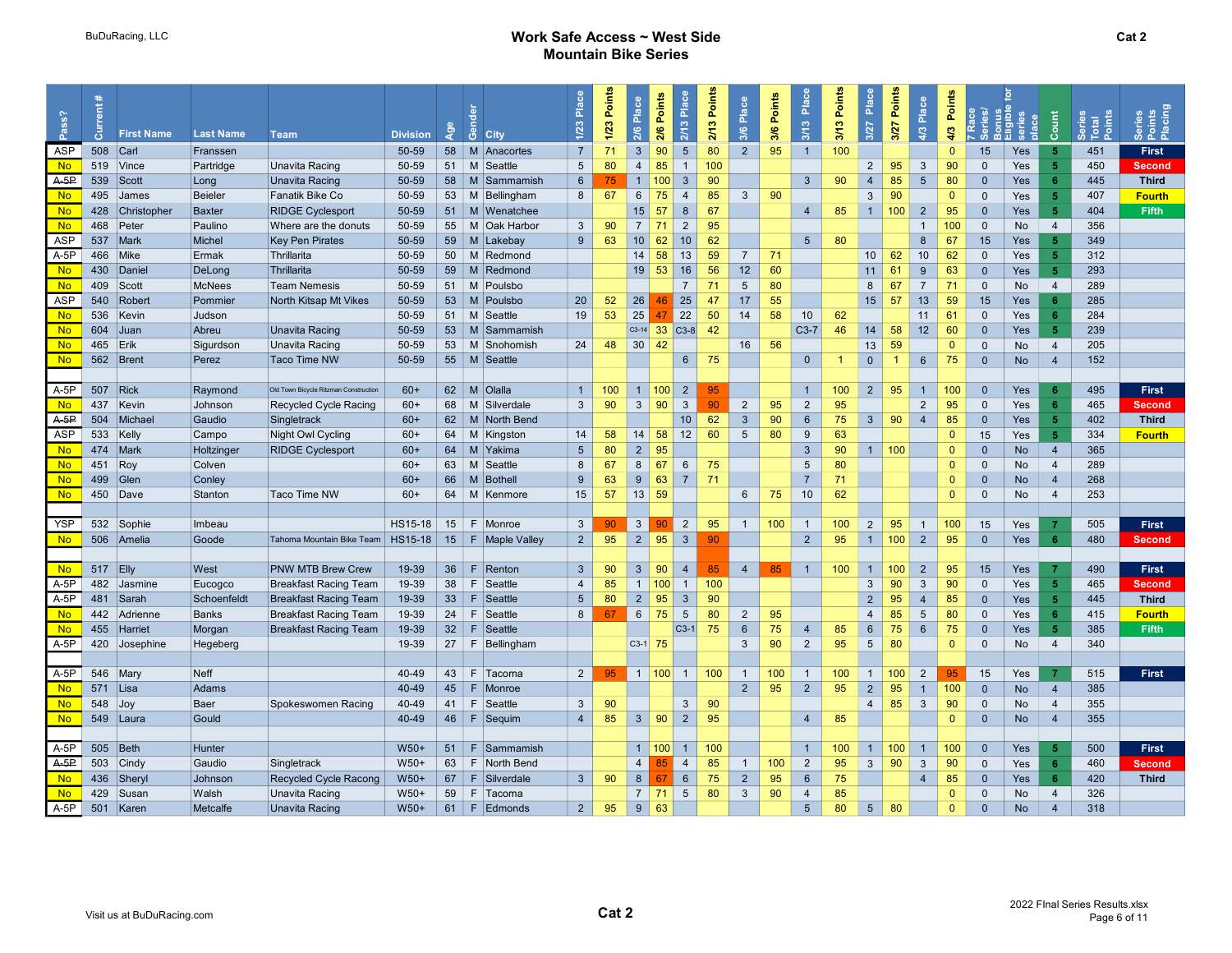#### BuDuRacing, LLC **BuDuRacing, LLC** BuDuRacing, LLC Mountain Bike Series

| Pass?               | ā          | <b>First Name</b> | <b>Last Name</b>  | <b>Team</b>                                  | <b>Division</b> | ge<br>4 | ්රී<br>City                 | 운<br>1/23         | 1/23 Points | Place<br>2/6        | 2/6 Points   | Place<br>2/13               | 2/13 Points | Place<br>3/6                   | 3/6 Points | 3/13 Place                       | Points<br>3/13 | Place<br>3/27   | Points<br>3/27 | Place<br>4/3                     | Points<br>4/3 |                              | place      | Count             | Total<br>Point | Series<br>Points<br>Placing   |  |
|---------------------|------------|-------------------|-------------------|----------------------------------------------|-----------------|---------|-----------------------------|-------------------|-------------|---------------------|--------------|-----------------------------|-------------|--------------------------------|------------|----------------------------------|----------------|-----------------|----------------|----------------------------------|---------------|------------------------------|------------|-------------------|----------------|-------------------------------|--|
| ASP                 | 508        | $ $ Carl          | Franssen          |                                              | 50-59           |         | 58 M Anacortes              | $\overline{7}$    | 71          | $\mathbf{3}$        | 90           | $5\overline{)}$             | 80          | $2^{\circ}$                    | 95         | $\overline{1}$                   | 100            |                 |                |                                  | $\Omega$      | 15                           | Yes        | $\sqrt{5}$        | 451            | First                         |  |
| <b>No</b>           |            | 519 Vince         | Partridge         | Unavita Racing                               | 50-59           |         | 51   M Seattle              | $5\phantom{.0}$   | 80          | $\overline{4}$      | 85           | $\overline{1}$              | 100         |                                |            |                                  |                | $\overline{2}$  | 95             | $\mathbf{3}$                     | 90            | $\Omega$                     | Yes        | -5                | 450            | <b>Second</b>                 |  |
| $A-5P$              | 539        | Scott             | Long              | <b>Unavita Racing</b>                        | 50-59           |         | 58   M Sammamish            | $6\overline{6}$   | 75          | 1                   | 100          | $\mathbf{3}$                | 90          |                                |            | $\mathbf{3}$                     | 90             | $\overline{4}$  | 85             | $5\phantom{1}$                   | 80            | $\mathbf{0}$                 | Yes        | - 6               | 445            | <b>Third</b>                  |  |
| <b>No</b>           |            | 495 James         | <b>Beieler</b>    | Fanatik Bike Co                              | 50-59           |         | 53   M   Bellingham         | 8                 | 67          | $6\overline{6}$     | 75           | $\overline{4}$              | 85          | $\mathbf{3}$                   | 90         |                                  |                | $\mathbf{3}$    | 90             |                                  | $\Omega$      | $\Omega$                     | Yes        | -5                | 407            | <b>Fourth</b>                 |  |
| No                  |            | 428 Christopher   | <b>Baxter</b>     | <b>RIDGE Cyclesport</b>                      | 50-59           |         | 51   M   Wenatchee          |                   |             | 15                  | 57           | 8                           | 67          |                                |            | $\overline{4}$                   | 85             | 1               | 100            | $\overline{2}$                   | 95            | $\mathbf 0$                  | <b>Yes</b> | -5                | 404            | Fifth                         |  |
| <b>No</b>           | 468        | Peter             | Paulino           | Where are the donuts                         | 50-59           |         | 55   M   Oak Harbor         | $\mathbf{3}$      | 90          | $7 \mid 71$         |              | $\overline{2}$              | 95          |                                |            |                                  |                |                 |                | $\overline{1}$                   | 100           | $\Omega$                     | No         | $\overline{4}$    | 356            |                               |  |
| ASP                 | 537        | Mark              | <b>Michel</b>     | <b>Key Pen Pirates</b>                       | 50-59           |         | 59 M Lakebay                | 9                 | 63          | 10                  | 62           | 10 <sup>°</sup>             | 62          |                                |            | $5\overline{)}$                  | 80             |                 |                | 8                                | 67            | 15                           | Yes        | $\sqrt{5}$        | 349            |                               |  |
| $A-5P$              | 466        | Mike              | Ermak             | Thrillarita                                  | 50-59           |         | 50   M   Redmond            |                   |             | $14 \mid 58$        |              | 13                          | 59          | $\overline{7}$                 | 71         |                                  |                | 10              | 62             | 10                               | 62            | $\Omega$                     | Yes        | -5                | 312            |                               |  |
| No                  | 430        | Daniel            | DeLong            | Thrillarita                                  | 50-59           |         | 59   M   Redmond            |                   |             | 19   53             |              | 16                          | 56          | 12 <sup>°</sup>                | 60         |                                  |                | 11              | 61             | 9                                | 63            | $\mathbf{0}$                 | Yes        | -5                | 293            |                               |  |
| <b>No</b>           |            | 409 Scott         | <b>McNees</b>     | <b>Team Nemesis</b>                          | 50-59           |         | 51   M   Poulsbo            |                   |             |                     |              | $\overline{7}$              | 71          | 5                              | 80         |                                  |                | 8               | 67             | $\overline{7}$                   | 71            | $\mathbf{0}$                 | No         | $\overline{4}$    | 289            |                               |  |
| ASP                 |            | 540 Robert        | Pommier           | North Kitsap Mt Vikes                        | 50-59           |         | 53 M Poulsbo                | 20                | 52          | 26                  |              | 25                          | 47          | 17                             | 55         |                                  |                | 15              | 57             | 13                               | 59            | 15                           | Yes        | - 6               | 285            |                               |  |
| <b>No</b>           |            | 536 Kevin         | Judson            |                                              | 50-59           |         | 51   M Seattle              | 19                | 53          | $\boxed{25}$        | 47           | 22                          | 50          | 14                             | 58         | 10 <sup>°</sup>                  | 62             |                 |                | 11                               | 61            | $\Omega$                     | Yes        | - 6               | 284            |                               |  |
| <b>No</b>           |            | 604 Juan          | Abreu             | <b>Unavita Racing</b>                        | 50-59           |         | 53   M Sammamish            |                   |             | $C3-14$ 33          |              | $ C3-8 $                    | 42          |                                |            | $C3-7$                           | 46             | 14              | 58             | 12                               | 60            | $\mathbf{0}$                 | Yes        | $\sqrt{5}$        | 239            |                               |  |
| <b>No</b>           | 465 Erik   |                   | Sigurdson         | Unavita Racing                               | 50-59           |         | 53   M Snohomish            | 24                | 48          | 30                  | 42           |                             |             | 16                             | 56         |                                  |                | 13              | 59             |                                  | $\Omega$      | $\mathbf{0}$                 | <b>No</b>  | $\overline{4}$    | 205            |                               |  |
| <b>No</b>           |            | 562 Brent         | Perez             | <b>Taco Time NW</b>                          | 50-59           |         | 55   M Seattle              |                   |             |                     |              | $6\overline{6}$             | 75          |                                |            | $\mathbf 0$                      | $\overline{1}$ | $\overline{0}$  | $\overline{1}$ | 6                                | 75            | $\overline{0}$               | <b>No</b>  | $\overline{4}$    | 152            |                               |  |
|                     |            |                   |                   |                                              |                 |         |                             |                   |             |                     |              |                             |             |                                |            |                                  |                |                 |                |                                  |               |                              |            |                   |                |                               |  |
| A-5P                | 507        | Rick<br>437 Kevin | Raymond           | Old Town Bicycle Ritzman Construction        | $60+$           | 68      | 62 M Olalla<br>M Silverdale | 1<br>$\mathbf{3}$ | 100<br>90   | $\mathbf{3}$        | 1 100 <br>90 | $2^{\circ}$<br>$\mathbf{3}$ | 95<br>90    |                                | 95         | $\overline{1}$<br>$\overline{2}$ | 100            | $\overline{2}$  | 95             | $\overline{1}$                   | 100           | $\mathbf{0}$<br>$\mathbf{0}$ | Yes        | - 6               | 495<br>465     | First                         |  |
| <b>No</b><br>$A-5P$ | 504        | Michael           | Johnson<br>Gaudio | <b>Recycled Cycle Racing</b><br>Singletrack  | $60+$<br>$60+$  | 62      | M North Bend                |                   |             |                     |              | 10 <sup>°</sup>             | 62          | $\overline{2}$<br>$\mathbf{3}$ | 90         | 6                                | 95<br>75       | $\mathbf{3}$    | 90             | $\overline{2}$<br>$\overline{4}$ | 95<br>85      | $\mathbf{0}$                 | Yes<br>Yes | - 6<br>$\sqrt{5}$ | 402            | <b>Second</b><br><b>Third</b> |  |
| ASP                 | 533        | Kelly             | Campo             |                                              | $60+$           |         | 64   M   Kingston           | 14                | 58          | 14                  | 58           | 12                          | 60          | $5\overline{)}$                | 80         | 9                                | 63             |                 |                |                                  | $\Omega$      | 15                           | Yes        | $\sqrt{5}$        | 334            | <b>Fourth</b>                 |  |
| <b>No</b>           | 474 Mark   |                   | Holtzinger        | Night Owl Cycling<br><b>RIDGE Cyclesport</b> | $60+$           | 64      | M Yakima                    | $5\phantom{.0}$   | 80          | $\overline{2}$      | 95           |                             |             |                                |            | $\overline{3}$                   | 90             | $\mathbf{1}$    | 100            |                                  | $\mathbf{0}$  | $\mathbf{0}$                 | <b>No</b>  | $\overline{4}$    | 365            |                               |  |
| No                  | 451 Roy    |                   | Colven            |                                              | $60+$           | 63      | M Seattle                   | 8                 | 67          | 8                   | 67           | 6                           | 75          |                                |            | 5                                | 80             |                 |                |                                  | $\Omega$      | $\mathbf{0}$                 | <b>No</b>  | $\overline{4}$    | 289            |                               |  |
| <b>No</b>           |            | 499 Glen          | Conley            |                                              | $60+$           | 66      | M Bothell                   | 9                 | 63          | 9                   | 63           | 7 <sup>1</sup>              | 71          |                                |            | $\overline{7}$                   | 71             |                 |                |                                  | $\Omega$      | $\mathbf{0}$                 | <b>No</b>  | $\overline{4}$    | 268            |                               |  |
| No                  |            | 450 Dave          | Stanton           | <b>Taco Time NW</b>                          | $60+$           |         | 64   M   Kenmore            | 15                | 57          | $13 \overline{59}$  |              |                             |             | 6                              | 75         | 10                               | 62             |                 |                |                                  | $\Omega$      | $\mathbf{0}$                 | <b>No</b>  | $\overline{4}$    | 253            |                               |  |
|                     |            |                   |                   |                                              |                 |         |                             |                   |             |                     |              |                             |             |                                |            |                                  |                |                 |                |                                  |               |                              |            |                   |                |                               |  |
| <b>YSP</b>          |            | 532 Sophie        | Imbeau            |                                              | HS15-18         | 15      | F Monroe                    | $\mathbf{3}$      | 90          | 3                   |              | 2                           | 95          | $\overline{1}$                 | 100        | $\overline{1}$                   | 100            | 2               | 95             | $\overline{1}$                   | 100           | 15                           | Yes        | $\overline{7}$    | 505            | First                         |  |
| <b>No</b>           |            | 506 Amelia        | Goode             | Tahoma Mountain Bike Team                    | HS15-18         |         | 15   F   Maple Valley       | $2^{\circ}$       | 95          | $2 \mid 95$         |              | 3 <sup>1</sup>              | 90          |                                |            | $\overline{2}$                   | 95             | 1               | 100            | $\overline{2}$                   | 95            | $\mathbf{0}$                 | Yes        | -6                | 480            | <b>Second</b>                 |  |
|                     |            |                   |                   |                                              |                 |         |                             |                   |             |                     |              |                             |             |                                |            |                                  |                |                 |                |                                  |               |                              |            |                   |                |                               |  |
| <b>No</b>           | 517 Elly   |                   | West              | <b>PNW MTB Brew Crew</b>                     | 19-39           | 36      | $F$ Renton                  | $\mathbf{3}$      | 90          | 3 <sup>5</sup>      | 90           | $\overline{4}$              | 85          | $\overline{4}$                 | 85         | $\overline{1}$                   | 100            | $\overline{1}$  | 100            | $\overline{2}$                   | 95            | 15                           | Yes        | -7                | 490            | First                         |  |
| $A-5P$              | 482        | Jasmine           | Eucogco           | <b>Breakfast Racing Team</b>                 | 19-39           | 38      | F Seattle                   | $\overline{4}$    | 85          | $\overline{1}$      | 100          |                             | 100         |                                |            |                                  |                | $\mathbf{3}$    | 90             | $\overline{3}$                   | 90            | $\Omega$                     | Yes        | -5                | 465            | <b>Second</b>                 |  |
| $A-5P$              |            | 481 Sarah         | Schoenfeldt       | <b>Breakfast Racing Team</b>                 | 19-39           |         | 33   F Seattle              | $\overline{5}$    | 80          | $\overline{2}$      | 95           | $\mathbf{3}$                | 90          |                                |            |                                  |                | $\overline{2}$  | 95             | $\overline{4}$                   | 85            | $\mathbf{0}$                 | Yes        | -5                | 445            | <b>Third</b>                  |  |
| No                  |            | 442 Adrienne      | <b>Banks</b>      | <b>Breakfast Racing Team</b>                 | 19-39           | 24      | $F$ Seattle                 | 8                 | 67          | 6                   | 75           | $5\overline{5}$             | 80          | $\overline{2}$                 | 95         |                                  |                | $\overline{4}$  | 85             | 5                                | 80            | $\Omega$                     | Yes        | - 6               | 415            | <b>Fourth</b>                 |  |
| <b>No</b>           |            | 455 Harriet       | Morgan            | <b>Breakfast Racing Team</b>                 | 19-39           |         | 32   F Seattle              |                   |             |                     |              | $C3-1$                      | 75          | $6\phantom{.}6$                | 75         | $\overline{4}$                   | 85             | $6\overline{6}$ | 75             | 6                                | 75            | $\mathbf{0}$                 | Yes        | $\sqrt{5}$        | 385            | Fifth                         |  |
| $A-5P$              |            | 420 Josephine     | Hegeberg          |                                              | 19-39           |         | $27$   F   Bellingham       |                   |             | $C3-1$ 75           |              |                             |             | $\mathbf{3}$                   | 90         | $\overline{2}$                   | 95             | $5\phantom{.0}$ | 80             |                                  | $\Omega$      | $\mathbf{0}$                 | <b>No</b>  | $\overline{4}$    | 340            |                               |  |
|                     |            |                   |                   |                                              |                 |         |                             |                   |             |                     |              |                             |             |                                |            |                                  |                |                 |                |                                  |               |                              |            |                   |                |                               |  |
| $A-5P$              |            | 546 Mary          | Neff              |                                              | 40-49           | 43      | F Tacoma                    | $\overline{2}$    | 95          |                     | 1   100      | $\vert$ 1 $\vert$           | 100         | $\overline{1}$                 | 100        | $\overline{1}$                   | 100            | $\mathbf{1}$    | 100            | $\overline{2}$                   | 95            | 15                           | Yes        | -7                | 515            | First                         |  |
| <b>No</b>           | $571$ Lisa |                   | Adams             |                                              | 40-49           | 45      | F Monroe                    |                   |             |                     |              |                             |             | $\overline{2}$                 | 95         | $\overline{2}$                   | 95             | $\overline{2}$  | 95             | $\overline{1}$                   | 100           | $\mathbf{0}$                 | <b>No</b>  | $\overline{4}$    | 385            |                               |  |
| <b>No</b>           | $548$ Joy  |                   | Baer              | Spokeswomen Racing                           | 40-49           |         | 41   F   Seattle            | $\mathbf{3}$      | 90          |                     |              | $\mathbf{3}$                | 90          |                                |            |                                  |                | $\overline{4}$  | 85             | $\mathbf{3}$                     | 90            | $\Omega$                     | No         | $\overline{4}$    | 355            |                               |  |
| No                  |            | 549 Laura         | Gould             |                                              | 40-49           |         | $46$   F Sequim             | $\overline{4}$    | 85          | $3 \mid 90$         |              | 2 <sup>1</sup>              | 95          |                                |            | $\overline{4}$                   | 85             |                 |                |                                  | $\Omega$      | $\overline{0}$               | <b>No</b>  | $\overline{4}$    | 355            |                               |  |
|                     |            |                   |                   |                                              |                 |         |                             |                   |             |                     |              |                             |             |                                |            |                                  |                |                 |                |                                  |               |                              |            |                   |                |                               |  |
| A-5P                | 505 Beth   |                   | Hunter            |                                              | $W50+$          |         | 51   F Sammamish            |                   |             | $1 \vert 100 \vert$ |              | $\overline{1}$              | 100         |                                |            | $\overline{1}$                   | 100            | 1               | 100            | $\overline{1}$                   | 100           | $\mathbf{0}$                 | Yes        | -5                | 500            | First                         |  |
| $A-5P$              |            | 503 Cindy         | Gaudio            | Singletrack                                  | $W50+$          | 63      | F North Bend                |                   |             | $\overline{4}$      | 85           | $\overline{4}$              | 85          | $\overline{1}$                 | 100        | $\overline{2}$                   | 95             | $\mathbf{3}$    | 90             | $\overline{3}$                   | 90            | $\mathbf{0}$                 | Yes        | -6                | 460            | <b>Second</b>                 |  |
| <b>No</b>           |            | 436 Sheryl        | Johnson           | Recycled Cycle Racong                        | $W50+$          | 67      | F Silverdale                | 3 <sup>7</sup>    | 90          | 8                   | 67           | 6                           | 75          | $\overline{2}$                 | 95         | $6\phantom{1}6$                  | 75             |                 |                | $\overline{4}$                   | 85            | $\mathbf{0}$                 | <b>Yes</b> | -6                | 420            | <b>Third</b>                  |  |
| No                  |            | 429 Susan         | Walsh             | Unavita Racing                               | $W50+$          | 59      | F Tacoma                    |                   |             | $7 \mid 71$         |              | $5\overline{5}$             | 80          | $\mathbf{3}$                   | 90         | $\overline{4}$                   | 85             |                 |                |                                  | $\Omega$      | $\mathbf{0}$                 | No         | $\overline{4}$    | 326            |                               |  |
| A-5P                |            | 501 Karen         | Metcalfe          | <b>Unavita Racing</b>                        | $W50+$          | 61      | F Edmonds                   | 2                 | 95          | $9 \mid 63$         |              |                             |             |                                |            | $5\phantom{1}$                   | 80             | 5 <sup>5</sup>  | 80             |                                  | $\Omega$      | $\mathbf{0}$                 | <b>No</b>  | $\overline{4}$    | 318            |                               |  |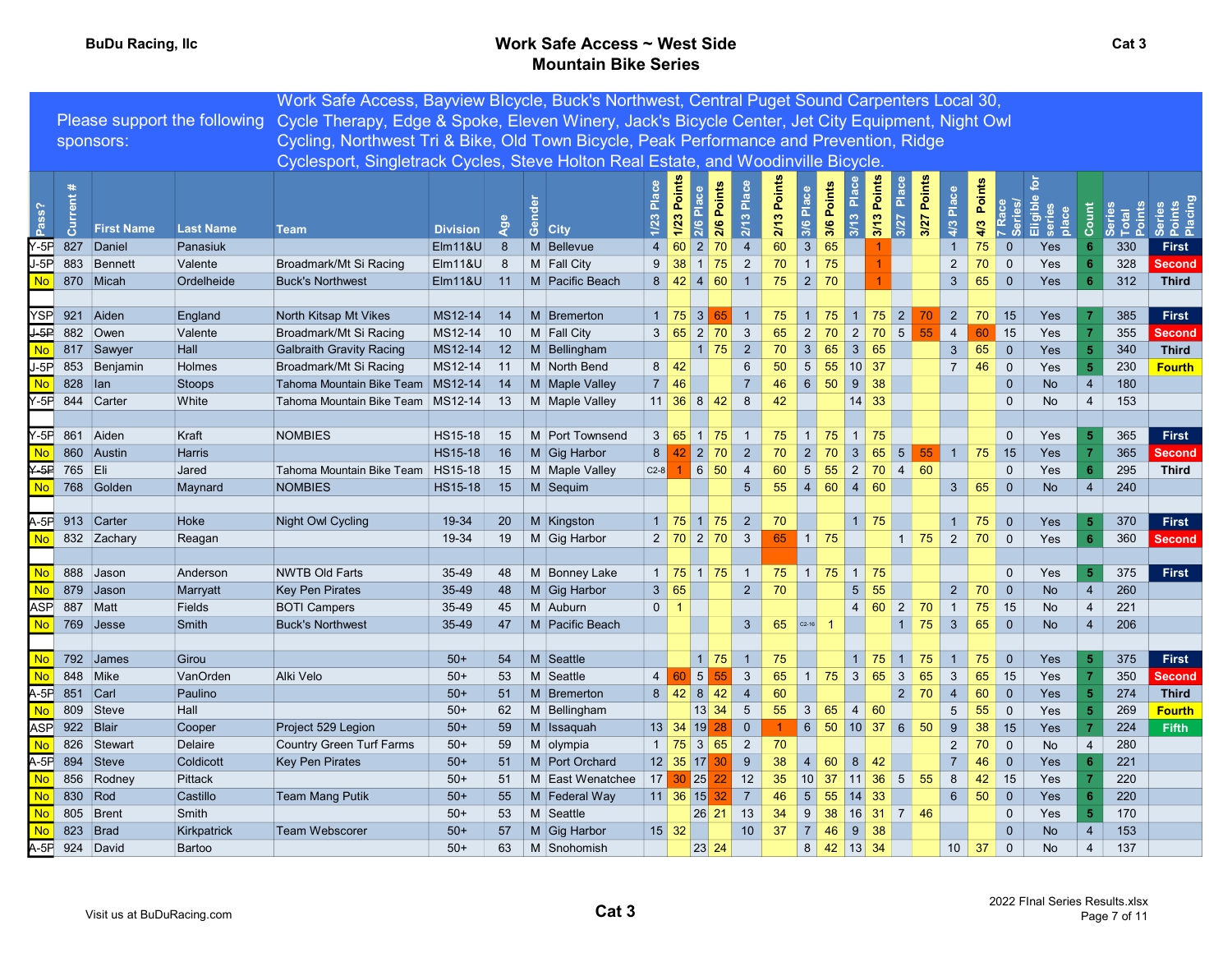# BuDu Racing, Ilc **BuDu Racing, Ilc Contract Contract Contract Contract Contract Contract Contract Contract Contract Contract Contract Contract Contract Contract Contract Contract Contract Contract Contract Contract Contrac** Mountain Bike Series

|                                            |                |                   |                              | Work Safe Access, Bayview Blcycle, Buck's Northwest, Central Puget Sound Carpenters Local 30,    |                 |                 |                      |                |                                                                       |                             |                 |        |                  |                            |                          |                                     |                   |                      |                                   |                       |           |                |      |                  |
|--------------------------------------------|----------------|-------------------|------------------------------|--------------------------------------------------------------------------------------------------|-----------------|-----------------|----------------------|----------------|-----------------------------------------------------------------------|-----------------------------|-----------------|--------|------------------|----------------------------|--------------------------|-------------------------------------|-------------------|----------------------|-----------------------------------|-----------------------|-----------|----------------|------|------------------|
|                                            |                |                   | Please support the following | Cycle Therapy, Edge & Spoke, Eleven Winery, Jack's Bicycle Center, Jet City Equipment, Night Owl |                 |                 |                      |                |                                                                       |                             |                 |        |                  |                            |                          |                                     |                   |                      |                                   |                       |           |                |      |                  |
|                                            |                | sponsors:         |                              | Cycling, Northwest Tri & Bike, Old Town Bicycle, Peak Performance and Prevention, Ridge          |                 |                 |                      |                |                                                                       |                             |                 |        |                  |                            |                          |                                     |                   |                      |                                   |                       |           |                |      |                  |
|                                            |                |                   |                              | Cyclesport, Singletrack Cycles, Steve Holton Real Estate, and Woodinville Bicycle.               |                 |                 |                      |                |                                                                       |                             |                 |        |                  |                            |                          |                                     |                   |                      |                                   |                       |           |                |      |                  |
|                                            |                |                   |                              |                                                                                                  |                 |                 |                      |                |                                                                       |                             |                 |        |                  |                            |                          |                                     |                   |                      |                                   |                       |           |                |      |                  |
|                                            |                |                   |                              |                                                                                                  |                 |                 |                      | Place          | Points                                                                | Points                      | Place           | Points |                  | 3/6 Points                 | 3/13 Place               | Points<br>Place                     |                   | Points<br>Place      |                                   | Points                |           |                |      |                  |
| ass?                                       | rent           |                   |                              |                                                                                                  |                 |                 |                      |                |                                                                       |                             |                 |        |                  |                            |                          |                                     |                   |                      |                                   |                       | Eligibl   |                |      |                  |
|                                            | ā              | <b>First Name</b> | <b>Last Name</b>             | Team                                                                                             | <b>Division</b> | Age             | Gen<br><b>City</b>   |                | 1/23<br>2/6                                                           | 2/6                         | 2/13            | 2/13   | $\overline{3/6}$ |                            |                          | 3/13<br>3/27                        |                   | 3/27<br>4/3          |                                   | <b>Series/</b><br>4/3 | place     | င်             | Tota | ិ និ គឺ<br>និ គឺ |
| $-5F$                                      | 827            | Daniel            | Panasiuk                     |                                                                                                  | Elm11&U         | 8               | M Bellevue           | $\overline{4}$ | 2 <br>60                                                              | 70                          | $\overline{4}$  | 60     | 3                | 65                         |                          |                                     |                   | $\overline{1}$       |                                   | $\overline{0}$<br>75  | Yes       |                | 330  | First            |
| $J-5P$                                     |                | 883 Bennett       | Valente                      | Broadmark/Mt Si Racing                                                                           | EIM118U         | 8               | M Fall City          | 9              | 38                                                                    | $1 \vert 75$                | $\overline{2}$  | 70     |                  | $1 \mid 75$                |                          |                                     |                   | 2                    |                                   | $\overline{0}$<br>70  | Yes       |                | 328  | <b>Second</b>    |
| <b>No</b>                                  |                | 870 Micah         | Ordelheide                   | <b>Buck's Northwest</b>                                                                          | $E$ Im11&U      | 11              | M Pacific Beach      |                | 8   42   4   60                                                       |                             | $\overline{1}$  | 75     |                  | $\vert 2 \vert 70$         |                          |                                     |                   | $\mathbf{3}$         |                                   | 65<br>$\overline{0}$  | Yes       | -6             | 312  | <b>Third</b>     |
|                                            |                |                   |                              |                                                                                                  |                 |                 |                      |                |                                                                       |                             |                 |        |                  |                            |                          |                                     |                   |                      |                                   |                       |           |                |      |                  |
| <b>YSP</b>                                 |                | 921 Aiden         | England                      | North Kitsap Mt Vikes                                                                            | MS12-14         | 14              | M Bremerton          |                | $1 \mid 75 \mid 3 \mid$                                               | 65                          |                 | 75     |                  | $1 \mid 75$                |                          |                                     |                   |                      | 2 <sup>1</sup>                    | $70$ 15               | Yes       |                | 385  | First            |
| $\overline{\mathsf{J}\text{-}\mathsf{SP}}$ |                | 882 Owen          | Valente                      | Broadmark/Mt Si Racing                                                                           | MS12-14         | 10 <sup>°</sup> | M Fall City          |                | 3 65 2 70                                                             |                             | $\mathbf{3}$    | 65     | 2                | 70                         |                          | $2 \mid 70 \mid 5$                  |                   | 55<br>$\overline{4}$ |                                   | 15<br>60              | Yes       |                | 355  | <b>Second</b>    |
| <b>No</b>                                  |                | 817 Sawyer        | Hall                         | <b>Galbraith Gravity Racing</b>                                                                  | MS12-14         | 12 <sup>7</sup> | M Bellingham         |                |                                                                       | $1 \overline{75}$           | $\overline{2}$  | 70     | 3 <sup>1</sup>   | 65                         | 3 65                     |                                     |                   | 3 <sup>5</sup>       |                                   | 65<br>$\overline{0}$  | Yes       | 5              | 340  | <b>Third</b>     |
| $J-5P$                                     |                | 853 Benjamin      | Holmes                       | Broadmark/Mt Si Racing                                                                           | MS12-14         | 11              | M North Bend         |                | $8 \mid 42$                                                           |                             | $6\overline{6}$ | 50     | 5 <sup>1</sup>   | 55                         | $10$ 37                  |                                     |                   | $7^{\circ}$          |                                   | $\overline{0}$<br>46  | Yes       | 5              | 230  | <b>Fourth</b>    |
| <b>No</b>                                  | 828   Ian      |                   | <b>Stoops</b>                | Tahoma Mountain Bike Team                                                                        | MS12-14         | 14              | M Maple Valley       | $7 \vert 46$   |                                                                       |                             | $\overline{7}$  | 46     |                  | $6 \mid 50$                | $9 \overline{\smash)38}$ |                                     |                   |                      |                                   | $\mathbf{0}$          | No        | $\overline{4}$ | 180  |                  |
|                                            |                | Y-5P 844 Carter   | White                        | Tahoma Mountain Bike Team                                                                        | MS12-14         | 13              | M Maple Valley       |                | $11 \,   \, 36 \,   \, 8 \,   \, 42$                                  |                             | 8               | 42     |                  |                            | $14 \mid 33$             |                                     |                   |                      |                                   | $\mathbf 0$           | No        | $\overline{4}$ | 153  |                  |
|                                            |                |                   |                              |                                                                                                  |                 |                 |                      |                |                                                                       |                             |                 |        |                  |                            |                          |                                     |                   |                      |                                   |                       |           |                |      |                  |
| 7-5PL                                      |                | 861 Aiden         | Kraft                        | <b>NOMBIES</b>                                                                                   | HS15-18         | 15              | M Port Townsend      |                | 3   65   1   75                                                       |                             |                 | 75     |                  | $1 \mid 75 \mid 1 \mid 75$ |                          |                                     |                   |                      |                                   | $\mathbf 0$           | Yes       |                | 365  | <b>First</b>     |
| <b>No</b>                                  |                | 860 Austin        | Harris                       |                                                                                                  | <b>HS15-18</b>  | 16              | M Gig Harbor         | 8              | $42$ 2 70                                                             |                             | $\overline{2}$  | 70     |                  | $\vert 2 \vert 70$         | 3 65                     |                                     | 5 <sup>5</sup>    | 55                   |                                   | 75<br>15              | Yes       |                | 365  | <b>Second</b>    |
| $Y-5F$                                     | 765 Eli        |                   | Jared                        | Tahoma Mountain Bike Team                                                                        | HS15-18         | 15              | M Maple Valley       | $C2-8$         | 1 6 50                                                                |                             | $\overline{4}$  | 60     | 5 <sup>1</sup>   | 55                         |                          | $2 \mid 70 \mid 4 \mid 60$          |                   |                      |                                   | $\mathbf 0$           | Yes       |                | 295  | <b>Third</b>     |
| No.                                        |                | 768 Golden        | Maynard                      | <b>NOMBIES</b>                                                                                   | <b>HS15-18</b>  | 15              | $\parallel$ M Sequim |                |                                                                       |                             | $5\overline{)}$ | 55     |                  | 4 60 4 60                  |                          |                                     |                   | 3 <sup>1</sup>       |                                   | 65<br>$\overline{0}$  | <b>No</b> | $\overline{4}$ | 240  |                  |
|                                            |                |                   |                              |                                                                                                  |                 |                 |                      |                |                                                                       |                             |                 |        |                  |                            |                          |                                     |                   |                      |                                   |                       |           |                |      |                  |
|                                            |                | A-5F 913 Carter   | Hoke                         | Night Owl Cycling                                                                                | 19-34           | 20 <sup>°</sup> | M Kingston           |                | $1 \mid 75 \mid 1 \mid 75$                                            |                             | $\overline{2}$  | 70     |                  |                            | $1 \mid 75$              |                                     |                   |                      |                                   | 75<br>$\overline{0}$  | Yes       | -5             | 370  | <b>First</b>     |
| No.                                        |                | 832 Zachary       | Reagan                       |                                                                                                  | 19-34           | 19              | M Gig Harbor         |                | $2 \begin{array}{ c c c c c } \hline 2 & 70 & 3 \ \hline \end{array}$ |                             |                 | 65     |                  | $1 \vert 75$               |                          |                                     |                   |                      |                                   | 70<br>$\overline{0}$  | Yes       | 6              | 360  | <b>Second</b>    |
|                                            |                |                   |                              |                                                                                                  |                 |                 |                      |                |                                                                       |                             |                 |        |                  |                            |                          |                                     |                   |                      |                                   |                       |           |                |      |                  |
| No                                         |                | 888 Jason         | Anderson                     | <b>NWTB Old Farts</b>                                                                            | 35-49           | 48              | M Bonney Lake        |                | $1 \mid 75 \mid 1 \mid 75$                                            |                             | $\overline{1}$  |        |                  | $75$ 1 75                  | $1 \mid 75$              |                                     |                   |                      |                                   | $\overline{0}$        | Yes       | -5             | 375  | <b>First</b>     |
| No                                         |                | 879 Jason         | Marryatt                     | <b>Key Pen Pirates</b>                                                                           | 35-49           | 48              | M Gig Harbor         | 3 65           |                                                                       |                             | $2^{\circ}$     | 70     |                  |                            | 5 <sup>1</sup>           | 55                                  |                   |                      | 2                                 | $\overline{0}$<br>70  | <b>No</b> | $\overline{4}$ | 260  |                  |
| <b>ASP</b>                                 | 887 Matt       |                   | Fields                       | <b>BOTI Campers</b>                                                                              | 35-49           | 45              | M Auburn             | $0 \mid 1$     |                                                                       |                             |                 |        | $C2-16$          |                            |                          | $4 \ 60 \ 2 \ 70$<br>$\overline{1}$ |                   | $\overline{1}$       |                                   | 75<br> 15             | No        | $\overline{4}$ | 221  |                  |
|                                            |                | $769$ Jesse       | Smith                        | <b>Buck's Northwest</b>                                                                          | 35-49           | 47              | M Pacific Beach      |                |                                                                       |                             | 3 <sup>5</sup>  | 65     |                  |                            |                          |                                     |                   | 75<br>3 <sup>5</sup> |                                   | 65<br>$\overline{0}$  | <b>No</b> | $\overline{4}$ | 206  |                  |
| <b>No</b>                                  |                | 792 James         | Girou                        |                                                                                                  | $50+$           | 54              | M Seattle            |                |                                                                       | $1 \mid 75$                 |                 | 75     |                  |                            |                          | $1 \mid 75 \mid$                    | $1 \overline{75}$ |                      |                                   | $75$ 0                | Yes       |                | 375  | First            |
| No                                         |                | 848 Mike          | VanOrden                     | Alki Velo                                                                                        | $50+$           | 53              | M Seattle            |                | 5<br>$4 \overline{60}$                                                | 55                          | $\mathbf{3}$    | 65     | 1 <sup>1</sup>   | 75                         | 3                        | 65                                  | $\mathbf{3}$      | 65<br>3              |                                   | 65<br>15              | Yes       |                | 350  | <b>Second</b>    |
| $A-5F$                                     | 851 Carl       |                   | Paulino                      |                                                                                                  | $50+$           | 51              | M Bremerton          |                | $8 \mid 42 \mid 8 \mid 42$                                            |                             | $\overline{4}$  | 60     |                  |                            |                          |                                     | 2                 | 70<br>$\overline{4}$ |                                   | 60<br>$\overline{0}$  | Yes       |                | 274  | <b>Third</b>     |
| <b>No</b>                                  |                | 809 Steve         | Hall                         |                                                                                                  | $50+$           | 62              | M Bellingham         |                |                                                                       | $13 \overline{\smash{)}34}$ | $5\phantom{.0}$ | 55     | $\mathbf{3}$     | 65                         | 4 60                     |                                     |                   | 5                    |                                   | 55<br>$\overline{0}$  | Yes       |                | 269  | <b>Fourth</b>    |
| ASPI                                       | 922 Blair      |                   | Cooper                       | Project 529 Legion                                                                               | $50+$           | 59              | M Issaquah           | $13 \mid 34$   | 19                                                                    | 28                          | $\overline{0}$  |        | $6 \overline{6}$ | 50                         | 10                       | 37 6                                |                   | 50<br>9              |                                   | 38<br>  15            | Yes       |                | 224  | <b>Fifth</b>     |
| <b>No</b>                                  |                | 826 Stewart       | Delaire                      | Country Green Turf Farms                                                                         | $50+$           | 59              | M olympia            |                | $1 \mid 75 \mid 3 \mid 65$                                            |                             | $\overline{2}$  | 70     |                  |                            |                          |                                     |                   | $\overline{2}$       |                                   | 70<br>$\overline{0}$  | No        | $\overline{4}$ | 280  |                  |
| $A-5F$                                     |                | 894 Steve         | Coldicott                    | <b>Key Pen Pirates</b>                                                                           | $50+$           | 51              | M Port Orchard       |                | $12$ 35 17                                                            | 30                          | 9               | 38     | $\overline{4}$   | 60                         | 8 <sup>1</sup>           | 42                                  |                   | $\overline{7}$       |                                   | 46<br>$\overline{0}$  | Yes       |                | 221  |                  |
| <b>No</b>                                  |                | 856 Rodney        | Pittack                      |                                                                                                  | $50+$           | 51              | M East Wenatchee     |                | 17 30 25                                                              | 22                          | 12              | 35     | 10 <sup>1</sup>  | $37$ 11 36                 |                          |                                     | 5 <sup>5</sup>    | 55<br>8              |                                   | 42<br>15              | Yes       |                | 220  |                  |
| <b>No</b>                                  | 830 Rod        |                   | Castillo                     | <b>Team Mang Putik</b>                                                                           | $50+$           | 55              | M Federal Way        |                | $11 \,   \, 36 \,   \, 15$                                            | 32 <sub>2</sub>             | $\overline{7}$  | 46     | $5^{\circ}$      | 55                         | 14                       | 33                                  |                   | 6 <sup>1</sup>       |                                   | 50<br>$\overline{0}$  | Yes       |                | 220  |                  |
| <b>No</b>                                  |                | 805 Brent         | Smith                        |                                                                                                  | $50+$           | 53              | M Seattle            |                |                                                                       | $26$ 21                     | 13              | 34     | 9                | 38                         |                          | 16 31 7 46                          |                   |                      |                                   | $\overline{0}$        | Yes       |                | 170  |                  |
| <b>No</b>                                  |                | 823 $ Brad$       | Kirkpatrick                  | <b>Team Webscorer</b>                                                                            | $50+$           | 57              | M Gig Harbor         | $15 \mid 32$   |                                                                       |                             | 10 <sup>1</sup> | 37     | $\vert 7 \vert$  | 46                         | $9 \mid 38$              |                                     |                   |                      |                                   | $\overline{0}$        | <b>No</b> | $\overline{4}$ | 153  |                  |
|                                            | A-5F 924 David |                   | Bartoo                       |                                                                                                  | $50+$           | 63              | M Snohomish          |                |                                                                       | 23 24                       |                 |        |                  | 8 42 13 34                 |                          |                                     |                   |                      | $10 \overline{\smash{\big)}\ 37}$ | $\overline{0}$        | No        | $\overline{4}$ | 137  |                  |
|                                            |                |                   |                              |                                                                                                  |                 |                 |                      |                |                                                                       |                             |                 |        |                  |                            |                          |                                     |                   |                      |                                   |                       |           |                |      |                  |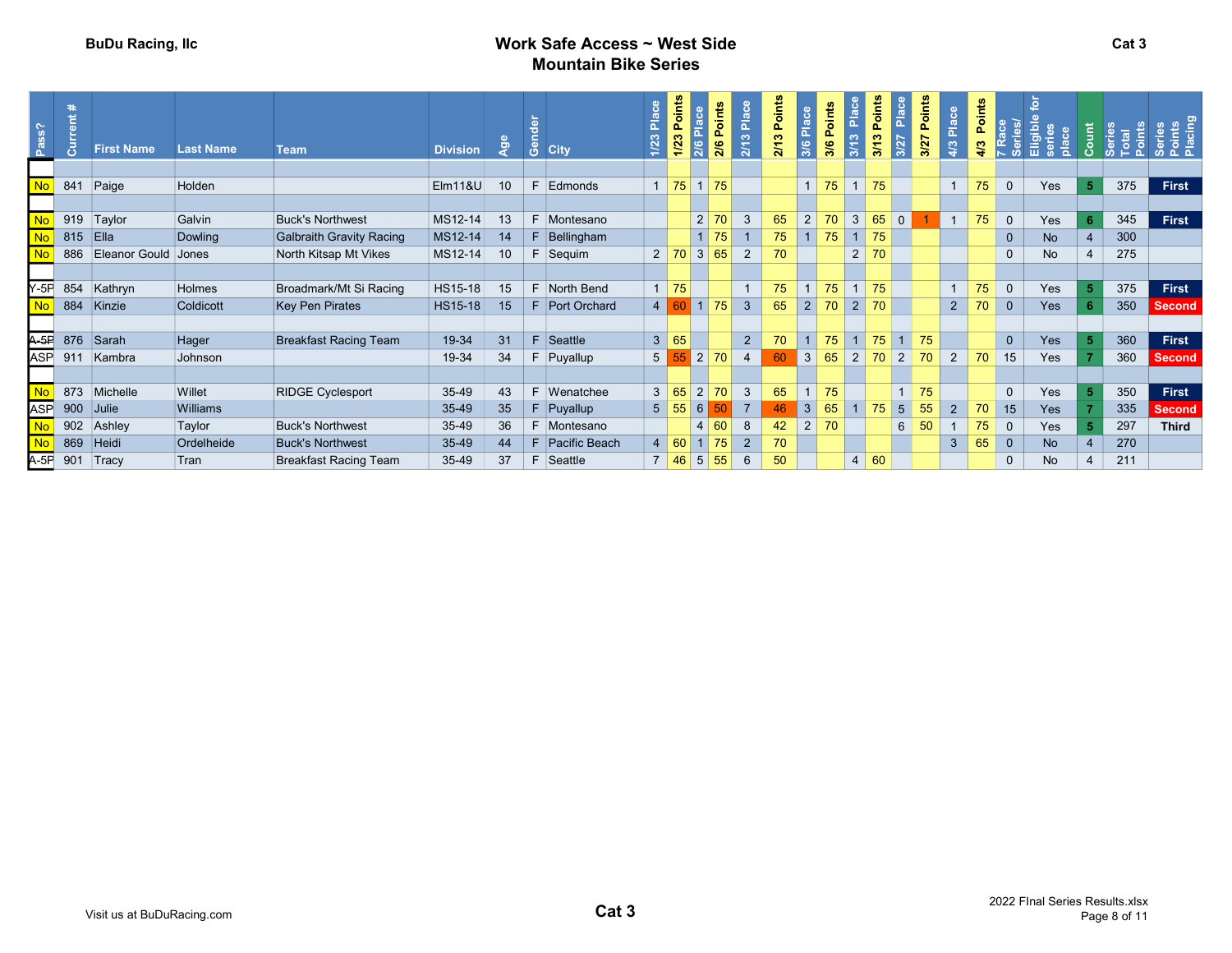# BuDu Racing, Ilc **BuDu Racing, Ilc Contract Contract Contract Contract Contract Contract Contract Contract Contract Contract Contract Contract Contract Contract Contract Contract Contract Contract Contract Contract Contrac** Mountain Bike Series

| 841<br><b>No</b><br>1175<br>F Edmonds<br>75<br>$1 \mid 75$<br>75<br>375<br>Paige<br>Holden<br><b>Elm11&amp;U</b><br>10 <sup>°</sup><br>$1 \mid 75 \mid$<br>Yes<br>First<br>$\overline{0}$<br>2 70<br>919<br><b>No</b><br>65<br>70<br>3 <sup>1</sup><br>65<br>Taylor<br>F Montesano<br>75<br>345<br>First<br>Galvin<br><b>Buck's Northwest</b><br>MS12-14<br>13<br>3<br>$\overline{2}$<br>$\overline{0}$<br>Yes<br>$\overline{0}$<br>$1 \mid 75$<br>300<br>815<br>E <sub>IIa</sub><br>75<br><b>Galbraith Gravity Racing</b><br>MS12-14<br>75<br>$1 \mid 75$<br>$\mathbf{0}$<br><b>Dowling</b><br>$F$ Bellingham<br><b>No</b><br><b>No</b><br>Eleanor Gould<br>3<br>65<br>70<br>886<br>10 <sup>°</sup><br>F Sequim<br>2 70 <br>$\overline{2}$<br>2 <sub>1</sub><br>70<br>275<br>North Kitsap Mt Vikes<br>MS12-14<br>Jones<br>$\mathbf 0$<br>No<br>$\overline{4}$<br>$Y-5F$<br>No<br>854<br>75<br>$1 \mid 75$<br>Yes<br>375<br>First<br>Broadmark/Mt Si Racing<br>F North Bend<br>$1 \vert 75$<br>75<br>75<br>Kathryn<br>Holmes<br><b>HS15-18</b><br>$\overline{0}$<br>15<br>$4 \ 60 \ 1 \ 75$<br>884<br>2<br>2 <sup>1</sup><br>$\mathbf{3}$<br>65<br>$2 \mid 70$<br>70<br>$\overline{\mathbf{0}}$<br>350<br>Kinzie<br><b>HS15-18</b><br>70<br>Yes<br>Coldicott<br><b>Key Pen Pirates</b><br>15<br>F Port Orchard<br><b>Second</b><br>$A-5F$ 876<br>3 65<br>$2^{\circ}$<br><b>Breakfast Racing Team</b><br>19-34<br>31<br>$F$ Seattle<br>70<br>75<br>$1 \mid 75$<br>360<br>Sarah<br>Yes<br>First<br>Hager<br>$1 \overline{75}$<br>$\overline{0}$<br><b>ASP</b><br>5 55 2 70<br>60<br>3 <sup>1</sup><br>70<br>911<br>34<br>65<br>2 <sup>1</sup><br>$\sqrt{2}$<br>70<br>$2^{\circ}$<br>70<br>15<br>Yes<br>360<br>Kambra<br>19-34<br>F Puyallup<br>$\overline{4}$<br>Johnson<br>Second<br><b>No</b><br>873<br>2<br>75<br>First<br><b>RIDGE Cyclesport</b><br>F Wenatchee<br>3<br>65<br>75<br>Yes<br>350<br>Michelle<br>Willet<br>43<br>3 65 <br>70<br>$\mathbf 0$<br>35-49<br><b>ASP</b><br>900<br>$6\overline{6}$<br>46<br>3<br>55<br>Williams<br>35-49<br>35<br>$5 \vert 55$<br>$\overline{7}$<br>65<br>$1 \mid 75$<br>$5\overline{)}$<br>70<br>Yes<br>335<br>$ $ Julie<br>$F$ Puyallup<br>15<br><b>Second</b><br><b>No</b><br>902<br>$6 \mid$<br>2 <br>297<br><b>Buck's Northwest</b><br>35-49<br>36<br>F Montesano<br>60<br>8<br>42<br>70<br>50<br>75<br>Yes<br><b>Third</b><br>Ashley<br>Taylor<br>4 <sup>1</sup><br>$\overline{0}$<br><b>No</b><br>869<br>270<br>F Pacific Beach<br>$1 \overline{75}$<br>3 <sup>1</sup><br>65<br>Heidi<br>Ordelheide<br>35-49<br>$4 \mid 60$<br>$\overline{2}$<br>70<br>$\overline{0}$<br><b>No</b><br><b>Buck's Northwest</b><br>44<br>$A-5F$ 901<br>50<br>4 60<br>211<br>Tracy<br>35-49<br>37<br>F Seattle<br>7 46 <br>5 <sup>5</sup><br>55<br>$6\overline{6}$<br><b>Breakfast Racing Team</b><br>Tran<br>$\mathbf{0}$<br>No<br>4 | Pass? | l Bl | <b>First Name</b> | <b>Last Name</b> | <b>Team</b> | <b>Division</b> | <u>ခို</u> | මී<br><b>City</b> | 1/23 | Points<br>1/23 | 2/6 Points<br>≖<br>2/6 | 2/13 Place | Points<br>2/13 | 3/6 | Points<br>3/6 | ຕ<br>$\frac{1}{2}$ | Points<br>Ħ<br>3/13<br>l. | Points<br>3/27 | $\frac{4}{3}$ | Points | ڡ<br>$rac{a}{\alpha}$ |  |  |
|---------------------------------------------------------------------------------------------------------------------------------------------------------------------------------------------------------------------------------------------------------------------------------------------------------------------------------------------------------------------------------------------------------------------------------------------------------------------------------------------------------------------------------------------------------------------------------------------------------------------------------------------------------------------------------------------------------------------------------------------------------------------------------------------------------------------------------------------------------------------------------------------------------------------------------------------------------------------------------------------------------------------------------------------------------------------------------------------------------------------------------------------------------------------------------------------------------------------------------------------------------------------------------------------------------------------------------------------------------------------------------------------------------------------------------------------------------------------------------------------------------------------------------------------------------------------------------------------------------------------------------------------------------------------------------------------------------------------------------------------------------------------------------------------------------------------------------------------------------------------------------------------------------------------------------------------------------------------------------------------------------------------------------------------------------------------------------------------------------------------------------------------------------------------------------------------------------------------------------------------------------------------------------------------------------------------------------------------------------------------------------------------------------------------------------------------------------------------------------------------------------------------------------------------------------------------------------------------------------------------------------------------------------------------------------------------------------------------------------------------------------------------------------------------------------------------------------------------------------------------|-------|------|-------------------|------------------|-------------|-----------------|------------|-------------------|------|----------------|------------------------|------------|----------------|-----|---------------|--------------------|---------------------------|----------------|---------------|--------|-----------------------|--|--|
|                                                                                                                                                                                                                                                                                                                                                                                                                                                                                                                                                                                                                                                                                                                                                                                                                                                                                                                                                                                                                                                                                                                                                                                                                                                                                                                                                                                                                                                                                                                                                                                                                                                                                                                                                                                                                                                                                                                                                                                                                                                                                                                                                                                                                                                                                                                                                                                                                                                                                                                                                                                                                                                                                                                                                                                                                                                                     |       |      |                   |                  |             |                 |            |                   |      |                |                        |            |                |     |               |                    |                           |                |               |        |                       |  |  |
|                                                                                                                                                                                                                                                                                                                                                                                                                                                                                                                                                                                                                                                                                                                                                                                                                                                                                                                                                                                                                                                                                                                                                                                                                                                                                                                                                                                                                                                                                                                                                                                                                                                                                                                                                                                                                                                                                                                                                                                                                                                                                                                                                                                                                                                                                                                                                                                                                                                                                                                                                                                                                                                                                                                                                                                                                                                                     |       |      |                   |                  |             |                 |            |                   |      |                |                        |            |                |     |               |                    |                           |                |               |        |                       |  |  |
|                                                                                                                                                                                                                                                                                                                                                                                                                                                                                                                                                                                                                                                                                                                                                                                                                                                                                                                                                                                                                                                                                                                                                                                                                                                                                                                                                                                                                                                                                                                                                                                                                                                                                                                                                                                                                                                                                                                                                                                                                                                                                                                                                                                                                                                                                                                                                                                                                                                                                                                                                                                                                                                                                                                                                                                                                                                                     |       |      |                   |                  |             |                 |            |                   |      |                |                        |            |                |     |               |                    |                           |                |               |        |                       |  |  |
|                                                                                                                                                                                                                                                                                                                                                                                                                                                                                                                                                                                                                                                                                                                                                                                                                                                                                                                                                                                                                                                                                                                                                                                                                                                                                                                                                                                                                                                                                                                                                                                                                                                                                                                                                                                                                                                                                                                                                                                                                                                                                                                                                                                                                                                                                                                                                                                                                                                                                                                                                                                                                                                                                                                                                                                                                                                                     |       |      |                   |                  |             |                 |            |                   |      |                |                        |            |                |     |               |                    |                           |                |               |        |                       |  |  |
|                                                                                                                                                                                                                                                                                                                                                                                                                                                                                                                                                                                                                                                                                                                                                                                                                                                                                                                                                                                                                                                                                                                                                                                                                                                                                                                                                                                                                                                                                                                                                                                                                                                                                                                                                                                                                                                                                                                                                                                                                                                                                                                                                                                                                                                                                                                                                                                                                                                                                                                                                                                                                                                                                                                                                                                                                                                                     |       |      |                   |                  |             |                 |            |                   |      |                |                        |            |                |     |               |                    |                           |                |               |        |                       |  |  |
|                                                                                                                                                                                                                                                                                                                                                                                                                                                                                                                                                                                                                                                                                                                                                                                                                                                                                                                                                                                                                                                                                                                                                                                                                                                                                                                                                                                                                                                                                                                                                                                                                                                                                                                                                                                                                                                                                                                                                                                                                                                                                                                                                                                                                                                                                                                                                                                                                                                                                                                                                                                                                                                                                                                                                                                                                                                                     |       |      |                   |                  |             |                 |            |                   |      |                |                        |            |                |     |               |                    |                           |                |               |        |                       |  |  |
|                                                                                                                                                                                                                                                                                                                                                                                                                                                                                                                                                                                                                                                                                                                                                                                                                                                                                                                                                                                                                                                                                                                                                                                                                                                                                                                                                                                                                                                                                                                                                                                                                                                                                                                                                                                                                                                                                                                                                                                                                                                                                                                                                                                                                                                                                                                                                                                                                                                                                                                                                                                                                                                                                                                                                                                                                                                                     |       |      |                   |                  |             |                 |            |                   |      |                |                        |            |                |     |               |                    |                           |                |               |        |                       |  |  |
|                                                                                                                                                                                                                                                                                                                                                                                                                                                                                                                                                                                                                                                                                                                                                                                                                                                                                                                                                                                                                                                                                                                                                                                                                                                                                                                                                                                                                                                                                                                                                                                                                                                                                                                                                                                                                                                                                                                                                                                                                                                                                                                                                                                                                                                                                                                                                                                                                                                                                                                                                                                                                                                                                                                                                                                                                                                                     |       |      |                   |                  |             |                 |            |                   |      |                |                        |            |                |     |               |                    |                           |                |               |        |                       |  |  |
|                                                                                                                                                                                                                                                                                                                                                                                                                                                                                                                                                                                                                                                                                                                                                                                                                                                                                                                                                                                                                                                                                                                                                                                                                                                                                                                                                                                                                                                                                                                                                                                                                                                                                                                                                                                                                                                                                                                                                                                                                                                                                                                                                                                                                                                                                                                                                                                                                                                                                                                                                                                                                                                                                                                                                                                                                                                                     |       |      |                   |                  |             |                 |            |                   |      |                |                        |            |                |     |               |                    |                           |                |               |        |                       |  |  |
|                                                                                                                                                                                                                                                                                                                                                                                                                                                                                                                                                                                                                                                                                                                                                                                                                                                                                                                                                                                                                                                                                                                                                                                                                                                                                                                                                                                                                                                                                                                                                                                                                                                                                                                                                                                                                                                                                                                                                                                                                                                                                                                                                                                                                                                                                                                                                                                                                                                                                                                                                                                                                                                                                                                                                                                                                                                                     |       |      |                   |                  |             |                 |            |                   |      |                |                        |            |                |     |               |                    |                           |                |               |        |                       |  |  |
|                                                                                                                                                                                                                                                                                                                                                                                                                                                                                                                                                                                                                                                                                                                                                                                                                                                                                                                                                                                                                                                                                                                                                                                                                                                                                                                                                                                                                                                                                                                                                                                                                                                                                                                                                                                                                                                                                                                                                                                                                                                                                                                                                                                                                                                                                                                                                                                                                                                                                                                                                                                                                                                                                                                                                                                                                                                                     |       |      |                   |                  |             |                 |            |                   |      |                |                        |            |                |     |               |                    |                           |                |               |        |                       |  |  |
|                                                                                                                                                                                                                                                                                                                                                                                                                                                                                                                                                                                                                                                                                                                                                                                                                                                                                                                                                                                                                                                                                                                                                                                                                                                                                                                                                                                                                                                                                                                                                                                                                                                                                                                                                                                                                                                                                                                                                                                                                                                                                                                                                                                                                                                                                                                                                                                                                                                                                                                                                                                                                                                                                                                                                                                                                                                                     |       |      |                   |                  |             |                 |            |                   |      |                |                        |            |                |     |               |                    |                           |                |               |        |                       |  |  |
|                                                                                                                                                                                                                                                                                                                                                                                                                                                                                                                                                                                                                                                                                                                                                                                                                                                                                                                                                                                                                                                                                                                                                                                                                                                                                                                                                                                                                                                                                                                                                                                                                                                                                                                                                                                                                                                                                                                                                                                                                                                                                                                                                                                                                                                                                                                                                                                                                                                                                                                                                                                                                                                                                                                                                                                                                                                                     |       |      |                   |                  |             |                 |            |                   |      |                |                        |            |                |     |               |                    |                           |                |               |        |                       |  |  |
|                                                                                                                                                                                                                                                                                                                                                                                                                                                                                                                                                                                                                                                                                                                                                                                                                                                                                                                                                                                                                                                                                                                                                                                                                                                                                                                                                                                                                                                                                                                                                                                                                                                                                                                                                                                                                                                                                                                                                                                                                                                                                                                                                                                                                                                                                                                                                                                                                                                                                                                                                                                                                                                                                                                                                                                                                                                                     |       |      |                   |                  |             |                 |            |                   |      |                |                        |            |                |     |               |                    |                           |                |               |        |                       |  |  |
|                                                                                                                                                                                                                                                                                                                                                                                                                                                                                                                                                                                                                                                                                                                                                                                                                                                                                                                                                                                                                                                                                                                                                                                                                                                                                                                                                                                                                                                                                                                                                                                                                                                                                                                                                                                                                                                                                                                                                                                                                                                                                                                                                                                                                                                                                                                                                                                                                                                                                                                                                                                                                                                                                                                                                                                                                                                                     |       |      |                   |                  |             |                 |            |                   |      |                |                        |            |                |     |               |                    |                           |                |               |        |                       |  |  |
|                                                                                                                                                                                                                                                                                                                                                                                                                                                                                                                                                                                                                                                                                                                                                                                                                                                                                                                                                                                                                                                                                                                                                                                                                                                                                                                                                                                                                                                                                                                                                                                                                                                                                                                                                                                                                                                                                                                                                                                                                                                                                                                                                                                                                                                                                                                                                                                                                                                                                                                                                                                                                                                                                                                                                                                                                                                                     |       |      |                   |                  |             |                 |            |                   |      |                |                        |            |                |     |               |                    |                           |                |               |        |                       |  |  |
|                                                                                                                                                                                                                                                                                                                                                                                                                                                                                                                                                                                                                                                                                                                                                                                                                                                                                                                                                                                                                                                                                                                                                                                                                                                                                                                                                                                                                                                                                                                                                                                                                                                                                                                                                                                                                                                                                                                                                                                                                                                                                                                                                                                                                                                                                                                                                                                                                                                                                                                                                                                                                                                                                                                                                                                                                                                                     |       |      |                   |                  |             |                 |            |                   |      |                |                        |            |                |     |               |                    |                           |                |               |        |                       |  |  |
|                                                                                                                                                                                                                                                                                                                                                                                                                                                                                                                                                                                                                                                                                                                                                                                                                                                                                                                                                                                                                                                                                                                                                                                                                                                                                                                                                                                                                                                                                                                                                                                                                                                                                                                                                                                                                                                                                                                                                                                                                                                                                                                                                                                                                                                                                                                                                                                                                                                                                                                                                                                                                                                                                                                                                                                                                                                                     |       |      |                   |                  |             |                 |            |                   |      |                |                        |            |                |     |               |                    |                           |                |               |        |                       |  |  |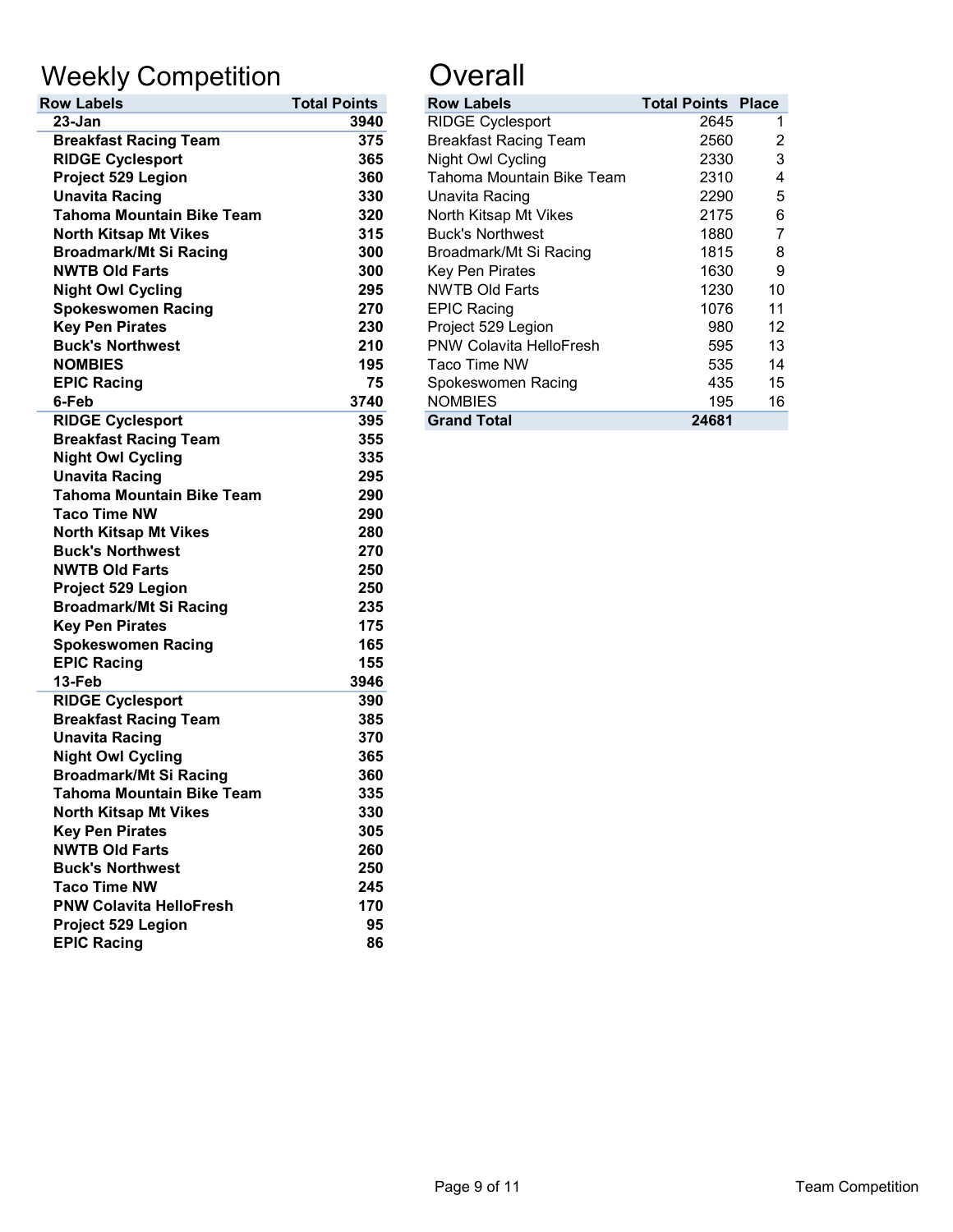# Weekly Competition **Constanting Constant**

| <b>Row Labels</b>                | <b>Total Points</b> | <b>Row Labels</b>            | <b>Total Points</b> |
|----------------------------------|---------------------|------------------------------|---------------------|
| 23-Jan                           | 3940                | <b>RIDGE Cyclesport</b>      | 2645                |
| <b>Breakfast Racing Team</b>     | 375                 | <b>Breakfast Racing Team</b> | 2560                |
| <b>RIDGE Cyclesport</b>          | 365                 | Night Owl Cycling            | 2330                |
| Project 529 Legion               | 360                 | Tahoma Mountain Bike Team    | 2310                |
| <b>Unavita Racing</b>            | 330                 | <b>Unavita Racing</b>        | 2290                |
| <b>Tahoma Mountain Bike Team</b> | 320                 | North Kitsap Mt Vikes        | 2175                |
| <b>North Kitsap Mt Vikes</b>     | 315                 | <b>Buck's Northwest</b>      | 1880                |
| <b>Broadmark/Mt Si Racing</b>    | 300                 | Broadmark/Mt Si Racing       | 1815                |
| <b>NWTB Old Farts</b>            | 300                 | <b>Key Pen Pirates</b>       | 1630                |
| <b>Night Owl Cycling</b>         | 295                 | <b>NWTB Old Farts</b>        | 1230                |
| <b>Spokeswomen Racing</b>        | 270                 | <b>EPIC Racing</b>           | 1076                |
| <b>Key Pen Pirates</b>           | 230                 | Project 529 Legion           | 980                 |
| <b>Buck's Northwest</b>          | 210                 | PNW Colavita HelloFresh      | 595                 |
| <b>NOMBIES</b>                   | 195                 | Taco Time NW                 | 535                 |
| <b>EPIC Racing</b>               | 75                  | Spokeswomen Racing           | 435                 |
| 6-Feb                            | 3740                | <b>NOMBIES</b>               | 195                 |
| <b>RIDGE Cyclesport</b>          | 395                 | <b>Grand Total</b>           | 24681               |
| <b>Breakfast Racing Team</b>     | 355                 |                              |                     |
| <b>Night Owl Cycling</b>         | 335                 |                              |                     |
| <b>Unavita Racing</b>            | 295                 |                              |                     |
| <b>Tahoma Mountain Bike Team</b> | 290                 |                              |                     |
| <b>Taco Time NW</b>              | 290                 |                              |                     |
| <b>North Kitsap Mt Vikes</b>     | 280                 |                              |                     |
| <b>Buck's Northwest</b>          | 270                 |                              |                     |
| <b>NWTB Old Farts</b>            | 250                 |                              |                     |
| Project 529 Legion               | 250                 |                              |                     |
| <b>Broadmark/Mt Si Racing</b>    | 235                 |                              |                     |
| <b>Key Pen Pirates</b>           | 175                 |                              |                     |
| <b>Spokeswomen Racing</b>        | 165                 |                              |                     |
| <b>EPIC Racing</b>               | 155                 |                              |                     |
| 13-Feb                           | 3946                |                              |                     |
| <b>RIDGE Cyclesport</b>          | 390                 |                              |                     |
| <b>Breakfast Racing Team</b>     | 385                 |                              |                     |
| <b>Unavita Racing</b>            | 370                 |                              |                     |
| <b>Night Owl Cycling</b>         | 365                 |                              |                     |
| <b>Broadmark/Mt Si Racing</b>    | 360                 |                              |                     |
| <b>Tahoma Mountain Bike Team</b> | 335                 |                              |                     |
| <b>North Kitsap Mt Vikes</b>     | 330                 |                              |                     |
| <b>Key Pen Pirates</b>           | 305                 |                              |                     |
| <b>NWTB Old Farts</b>            | 260                 |                              |                     |
| <b>Buck's Northwest</b>          | 250                 |                              |                     |
| <b>Taco Time NW</b>              | 245                 |                              |                     |
| <b>PNW Colavita HelloFresh</b>   | 170                 |                              |                     |
| Project 529 Legion               | 95                  |                              |                     |
| <b>EPIC Racing</b>               | 86                  |                              |                     |

| <b>Total Points</b> | <b>Row Labels</b>              |       |                                                                                                                                                      |
|---------------------|--------------------------------|-------|------------------------------------------------------------------------------------------------------------------------------------------------------|
| 3940                | <b>RIDGE Cyclesport</b>        |       |                                                                                                                                                      |
| 375                 | <b>Breakfast Racing Team</b>   |       | 2                                                                                                                                                    |
| 365                 | Night Owl Cycling              |       | 3                                                                                                                                                    |
| 360                 | Tahoma Mountain Bike Team      |       | 4                                                                                                                                                    |
| 330                 | Unavita Racing                 |       | 5                                                                                                                                                    |
| 320                 | North Kitsap Mt Vikes          |       | 6                                                                                                                                                    |
| 315                 | <b>Buck's Northwest</b>        |       |                                                                                                                                                      |
| 300                 | Broadmark/Mt Si Racing         |       | 8                                                                                                                                                    |
| 300                 | Key Pen Pirates                |       | 9                                                                                                                                                    |
| 295                 | <b>NWTB Old Farts</b>          |       | 10                                                                                                                                                   |
| 270                 | <b>EPIC Racing</b>             |       | 11                                                                                                                                                   |
| 230                 | Project 529 Legion             |       | 12                                                                                                                                                   |
| 210                 | <b>PNW Colavita HelloFresh</b> |       | 13                                                                                                                                                   |
| 195                 | Taco Time NW                   |       | 14                                                                                                                                                   |
| 75                  | Spokeswomen Racing             |       | 15                                                                                                                                                   |
| 3740                | <b>NOMBIES</b>                 |       | 16                                                                                                                                                   |
| 395                 | <b>Grand Total</b>             | 24681 |                                                                                                                                                      |
|                     |                                |       | <b>Total Points Place</b><br>2645<br>2560<br>2330<br>2310<br>2290<br>2175<br>1880<br>1815<br>1630<br>1230<br>1076<br>980<br>595<br>535<br>435<br>195 |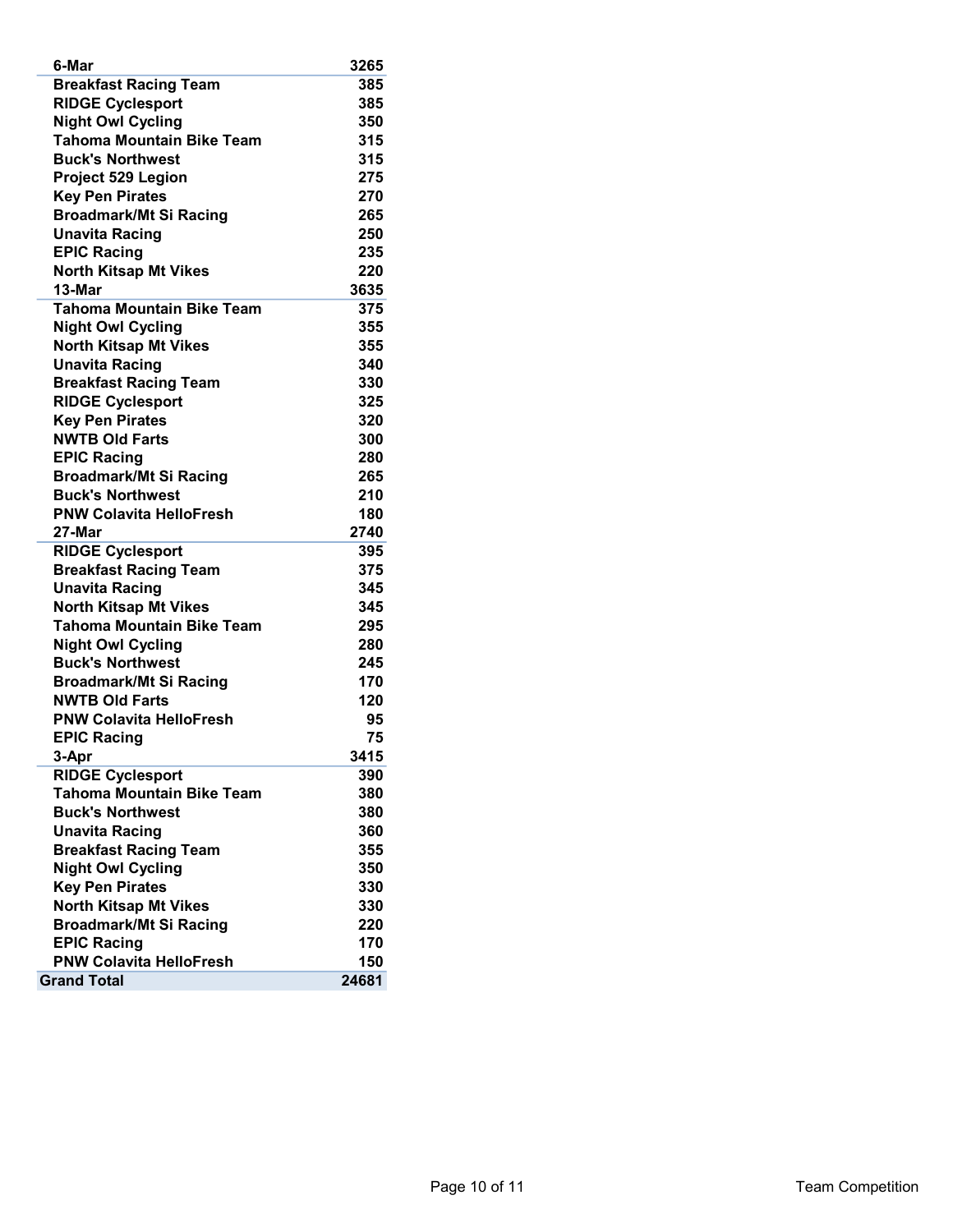| <b>Breakfast Racing Team</b><br>385<br><b>RIDGE Cyclesport</b><br>385<br><b>Night Owl Cycling</b><br>350<br><b>Tahoma Mountain Bike Team</b><br>315<br><b>Buck's Northwest</b><br>315<br>Project 529 Legion<br>275<br><b>Key Pen Pirates</b><br>270<br><b>Broadmark/Mt Si Racing</b><br>265<br><b>Unavita Racing</b><br>250<br><b>EPIC Racing</b><br>235<br><b>North Kitsap Mt Vikes</b><br>220<br>13-Mar<br>3635<br><b>Tahoma Mountain Bike Team</b><br>375<br><b>Night Owl Cycling</b><br>355<br><b>North Kitsap Mt Vikes</b><br>355<br><b>Unavita Racing</b><br>340<br><b>Breakfast Racing Team</b><br>330<br><b>RIDGE Cyclesport</b><br>325<br><b>Key Pen Pirates</b><br>320<br><b>NWTB Old Farts</b><br>300<br><b>EPIC Racing</b><br>280<br><b>Broadmark/Mt Si Racing</b><br>265<br><b>Buck's Northwest</b><br>210<br><b>PNW Colavita HelloFresh</b><br>180<br>2740<br>27-Mar<br><b>RIDGE Cyclesport</b><br>395<br><b>Breakfast Racing Team</b><br>375<br><b>Unavita Racing</b><br>345<br><b>North Kitsap Mt Vikes</b><br>345<br><b>Tahoma Mountain Bike Team</b><br>295<br><b>Night Owl Cycling</b><br>280<br><b>Buck's Northwest</b><br>245<br>170<br><b>Broadmark/Mt Si Racing</b><br>120<br><b>NWTB Old Farts</b><br><b>PNW Colavita HelloFresh</b><br>95<br><b>EPIC Racing</b><br>75<br>3-Apr<br>3415<br><b>RIDGE Cyclesport</b><br>390<br><b>Tahoma Mountain Bike Team</b><br>380<br><b>Buck's Northwest</b><br>380<br><b>Unavita Racing</b><br>360<br><b>Breakfast Racing Team</b><br>355<br><b>Night Owl Cycling</b><br>350<br><b>Key Pen Pirates</b><br>330<br><b>North Kitsap Mt Vikes</b><br>330<br><b>Broadmark/Mt Si Racing</b><br>220<br><b>EPIC Racing</b><br>170<br><b>PNW Colavita HelloFresh</b><br>150 | 6-Mar              | 3265  |
|--------------------------------------------------------------------------------------------------------------------------------------------------------------------------------------------------------------------------------------------------------------------------------------------------------------------------------------------------------------------------------------------------------------------------------------------------------------------------------------------------------------------------------------------------------------------------------------------------------------------------------------------------------------------------------------------------------------------------------------------------------------------------------------------------------------------------------------------------------------------------------------------------------------------------------------------------------------------------------------------------------------------------------------------------------------------------------------------------------------------------------------------------------------------------------------------------------------------------------------------------------------------------------------------------------------------------------------------------------------------------------------------------------------------------------------------------------------------------------------------------------------------------------------------------------------------------------------------------------------------------------------------------------------------------------------------------------------------------------|--------------------|-------|
|                                                                                                                                                                                                                                                                                                                                                                                                                                                                                                                                                                                                                                                                                                                                                                                                                                                                                                                                                                                                                                                                                                                                                                                                                                                                                                                                                                                                                                                                                                                                                                                                                                                                                                                                |                    |       |
|                                                                                                                                                                                                                                                                                                                                                                                                                                                                                                                                                                                                                                                                                                                                                                                                                                                                                                                                                                                                                                                                                                                                                                                                                                                                                                                                                                                                                                                                                                                                                                                                                                                                                                                                |                    |       |
|                                                                                                                                                                                                                                                                                                                                                                                                                                                                                                                                                                                                                                                                                                                                                                                                                                                                                                                                                                                                                                                                                                                                                                                                                                                                                                                                                                                                                                                                                                                                                                                                                                                                                                                                |                    |       |
|                                                                                                                                                                                                                                                                                                                                                                                                                                                                                                                                                                                                                                                                                                                                                                                                                                                                                                                                                                                                                                                                                                                                                                                                                                                                                                                                                                                                                                                                                                                                                                                                                                                                                                                                |                    |       |
|                                                                                                                                                                                                                                                                                                                                                                                                                                                                                                                                                                                                                                                                                                                                                                                                                                                                                                                                                                                                                                                                                                                                                                                                                                                                                                                                                                                                                                                                                                                                                                                                                                                                                                                                |                    |       |
|                                                                                                                                                                                                                                                                                                                                                                                                                                                                                                                                                                                                                                                                                                                                                                                                                                                                                                                                                                                                                                                                                                                                                                                                                                                                                                                                                                                                                                                                                                                                                                                                                                                                                                                                |                    |       |
|                                                                                                                                                                                                                                                                                                                                                                                                                                                                                                                                                                                                                                                                                                                                                                                                                                                                                                                                                                                                                                                                                                                                                                                                                                                                                                                                                                                                                                                                                                                                                                                                                                                                                                                                |                    |       |
|                                                                                                                                                                                                                                                                                                                                                                                                                                                                                                                                                                                                                                                                                                                                                                                                                                                                                                                                                                                                                                                                                                                                                                                                                                                                                                                                                                                                                                                                                                                                                                                                                                                                                                                                |                    |       |
|                                                                                                                                                                                                                                                                                                                                                                                                                                                                                                                                                                                                                                                                                                                                                                                                                                                                                                                                                                                                                                                                                                                                                                                                                                                                                                                                                                                                                                                                                                                                                                                                                                                                                                                                |                    |       |
|                                                                                                                                                                                                                                                                                                                                                                                                                                                                                                                                                                                                                                                                                                                                                                                                                                                                                                                                                                                                                                                                                                                                                                                                                                                                                                                                                                                                                                                                                                                                                                                                                                                                                                                                |                    |       |
|                                                                                                                                                                                                                                                                                                                                                                                                                                                                                                                                                                                                                                                                                                                                                                                                                                                                                                                                                                                                                                                                                                                                                                                                                                                                                                                                                                                                                                                                                                                                                                                                                                                                                                                                |                    |       |
|                                                                                                                                                                                                                                                                                                                                                                                                                                                                                                                                                                                                                                                                                                                                                                                                                                                                                                                                                                                                                                                                                                                                                                                                                                                                                                                                                                                                                                                                                                                                                                                                                                                                                                                                |                    |       |
|                                                                                                                                                                                                                                                                                                                                                                                                                                                                                                                                                                                                                                                                                                                                                                                                                                                                                                                                                                                                                                                                                                                                                                                                                                                                                                                                                                                                                                                                                                                                                                                                                                                                                                                                |                    |       |
|                                                                                                                                                                                                                                                                                                                                                                                                                                                                                                                                                                                                                                                                                                                                                                                                                                                                                                                                                                                                                                                                                                                                                                                                                                                                                                                                                                                                                                                                                                                                                                                                                                                                                                                                |                    |       |
|                                                                                                                                                                                                                                                                                                                                                                                                                                                                                                                                                                                                                                                                                                                                                                                                                                                                                                                                                                                                                                                                                                                                                                                                                                                                                                                                                                                                                                                                                                                                                                                                                                                                                                                                |                    |       |
|                                                                                                                                                                                                                                                                                                                                                                                                                                                                                                                                                                                                                                                                                                                                                                                                                                                                                                                                                                                                                                                                                                                                                                                                                                                                                                                                                                                                                                                                                                                                                                                                                                                                                                                                |                    |       |
|                                                                                                                                                                                                                                                                                                                                                                                                                                                                                                                                                                                                                                                                                                                                                                                                                                                                                                                                                                                                                                                                                                                                                                                                                                                                                                                                                                                                                                                                                                                                                                                                                                                                                                                                |                    |       |
|                                                                                                                                                                                                                                                                                                                                                                                                                                                                                                                                                                                                                                                                                                                                                                                                                                                                                                                                                                                                                                                                                                                                                                                                                                                                                                                                                                                                                                                                                                                                                                                                                                                                                                                                |                    |       |
|                                                                                                                                                                                                                                                                                                                                                                                                                                                                                                                                                                                                                                                                                                                                                                                                                                                                                                                                                                                                                                                                                                                                                                                                                                                                                                                                                                                                                                                                                                                                                                                                                                                                                                                                |                    |       |
|                                                                                                                                                                                                                                                                                                                                                                                                                                                                                                                                                                                                                                                                                                                                                                                                                                                                                                                                                                                                                                                                                                                                                                                                                                                                                                                                                                                                                                                                                                                                                                                                                                                                                                                                |                    |       |
|                                                                                                                                                                                                                                                                                                                                                                                                                                                                                                                                                                                                                                                                                                                                                                                                                                                                                                                                                                                                                                                                                                                                                                                                                                                                                                                                                                                                                                                                                                                                                                                                                                                                                                                                |                    |       |
|                                                                                                                                                                                                                                                                                                                                                                                                                                                                                                                                                                                                                                                                                                                                                                                                                                                                                                                                                                                                                                                                                                                                                                                                                                                                                                                                                                                                                                                                                                                                                                                                                                                                                                                                |                    |       |
|                                                                                                                                                                                                                                                                                                                                                                                                                                                                                                                                                                                                                                                                                                                                                                                                                                                                                                                                                                                                                                                                                                                                                                                                                                                                                                                                                                                                                                                                                                                                                                                                                                                                                                                                |                    |       |
|                                                                                                                                                                                                                                                                                                                                                                                                                                                                                                                                                                                                                                                                                                                                                                                                                                                                                                                                                                                                                                                                                                                                                                                                                                                                                                                                                                                                                                                                                                                                                                                                                                                                                                                                |                    |       |
|                                                                                                                                                                                                                                                                                                                                                                                                                                                                                                                                                                                                                                                                                                                                                                                                                                                                                                                                                                                                                                                                                                                                                                                                                                                                                                                                                                                                                                                                                                                                                                                                                                                                                                                                |                    |       |
|                                                                                                                                                                                                                                                                                                                                                                                                                                                                                                                                                                                                                                                                                                                                                                                                                                                                                                                                                                                                                                                                                                                                                                                                                                                                                                                                                                                                                                                                                                                                                                                                                                                                                                                                |                    |       |
|                                                                                                                                                                                                                                                                                                                                                                                                                                                                                                                                                                                                                                                                                                                                                                                                                                                                                                                                                                                                                                                                                                                                                                                                                                                                                                                                                                                                                                                                                                                                                                                                                                                                                                                                |                    |       |
|                                                                                                                                                                                                                                                                                                                                                                                                                                                                                                                                                                                                                                                                                                                                                                                                                                                                                                                                                                                                                                                                                                                                                                                                                                                                                                                                                                                                                                                                                                                                                                                                                                                                                                                                |                    |       |
|                                                                                                                                                                                                                                                                                                                                                                                                                                                                                                                                                                                                                                                                                                                                                                                                                                                                                                                                                                                                                                                                                                                                                                                                                                                                                                                                                                                                                                                                                                                                                                                                                                                                                                                                |                    |       |
|                                                                                                                                                                                                                                                                                                                                                                                                                                                                                                                                                                                                                                                                                                                                                                                                                                                                                                                                                                                                                                                                                                                                                                                                                                                                                                                                                                                                                                                                                                                                                                                                                                                                                                                                |                    |       |
|                                                                                                                                                                                                                                                                                                                                                                                                                                                                                                                                                                                                                                                                                                                                                                                                                                                                                                                                                                                                                                                                                                                                                                                                                                                                                                                                                                                                                                                                                                                                                                                                                                                                                                                                |                    |       |
|                                                                                                                                                                                                                                                                                                                                                                                                                                                                                                                                                                                                                                                                                                                                                                                                                                                                                                                                                                                                                                                                                                                                                                                                                                                                                                                                                                                                                                                                                                                                                                                                                                                                                                                                |                    |       |
|                                                                                                                                                                                                                                                                                                                                                                                                                                                                                                                                                                                                                                                                                                                                                                                                                                                                                                                                                                                                                                                                                                                                                                                                                                                                                                                                                                                                                                                                                                                                                                                                                                                                                                                                |                    |       |
|                                                                                                                                                                                                                                                                                                                                                                                                                                                                                                                                                                                                                                                                                                                                                                                                                                                                                                                                                                                                                                                                                                                                                                                                                                                                                                                                                                                                                                                                                                                                                                                                                                                                                                                                |                    |       |
|                                                                                                                                                                                                                                                                                                                                                                                                                                                                                                                                                                                                                                                                                                                                                                                                                                                                                                                                                                                                                                                                                                                                                                                                                                                                                                                                                                                                                                                                                                                                                                                                                                                                                                                                |                    |       |
|                                                                                                                                                                                                                                                                                                                                                                                                                                                                                                                                                                                                                                                                                                                                                                                                                                                                                                                                                                                                                                                                                                                                                                                                                                                                                                                                                                                                                                                                                                                                                                                                                                                                                                                                |                    |       |
|                                                                                                                                                                                                                                                                                                                                                                                                                                                                                                                                                                                                                                                                                                                                                                                                                                                                                                                                                                                                                                                                                                                                                                                                                                                                                                                                                                                                                                                                                                                                                                                                                                                                                                                                |                    |       |
|                                                                                                                                                                                                                                                                                                                                                                                                                                                                                                                                                                                                                                                                                                                                                                                                                                                                                                                                                                                                                                                                                                                                                                                                                                                                                                                                                                                                                                                                                                                                                                                                                                                                                                                                |                    |       |
|                                                                                                                                                                                                                                                                                                                                                                                                                                                                                                                                                                                                                                                                                                                                                                                                                                                                                                                                                                                                                                                                                                                                                                                                                                                                                                                                                                                                                                                                                                                                                                                                                                                                                                                                |                    |       |
|                                                                                                                                                                                                                                                                                                                                                                                                                                                                                                                                                                                                                                                                                                                                                                                                                                                                                                                                                                                                                                                                                                                                                                                                                                                                                                                                                                                                                                                                                                                                                                                                                                                                                                                                |                    |       |
|                                                                                                                                                                                                                                                                                                                                                                                                                                                                                                                                                                                                                                                                                                                                                                                                                                                                                                                                                                                                                                                                                                                                                                                                                                                                                                                                                                                                                                                                                                                                                                                                                                                                                                                                |                    |       |
|                                                                                                                                                                                                                                                                                                                                                                                                                                                                                                                                                                                                                                                                                                                                                                                                                                                                                                                                                                                                                                                                                                                                                                                                                                                                                                                                                                                                                                                                                                                                                                                                                                                                                                                                |                    |       |
|                                                                                                                                                                                                                                                                                                                                                                                                                                                                                                                                                                                                                                                                                                                                                                                                                                                                                                                                                                                                                                                                                                                                                                                                                                                                                                                                                                                                                                                                                                                                                                                                                                                                                                                                |                    |       |
|                                                                                                                                                                                                                                                                                                                                                                                                                                                                                                                                                                                                                                                                                                                                                                                                                                                                                                                                                                                                                                                                                                                                                                                                                                                                                                                                                                                                                                                                                                                                                                                                                                                                                                                                |                    |       |
|                                                                                                                                                                                                                                                                                                                                                                                                                                                                                                                                                                                                                                                                                                                                                                                                                                                                                                                                                                                                                                                                                                                                                                                                                                                                                                                                                                                                                                                                                                                                                                                                                                                                                                                                |                    |       |
|                                                                                                                                                                                                                                                                                                                                                                                                                                                                                                                                                                                                                                                                                                                                                                                                                                                                                                                                                                                                                                                                                                                                                                                                                                                                                                                                                                                                                                                                                                                                                                                                                                                                                                                                |                    |       |
|                                                                                                                                                                                                                                                                                                                                                                                                                                                                                                                                                                                                                                                                                                                                                                                                                                                                                                                                                                                                                                                                                                                                                                                                                                                                                                                                                                                                                                                                                                                                                                                                                                                                                                                                |                    |       |
|                                                                                                                                                                                                                                                                                                                                                                                                                                                                                                                                                                                                                                                                                                                                                                                                                                                                                                                                                                                                                                                                                                                                                                                                                                                                                                                                                                                                                                                                                                                                                                                                                                                                                                                                |                    |       |
|                                                                                                                                                                                                                                                                                                                                                                                                                                                                                                                                                                                                                                                                                                                                                                                                                                                                                                                                                                                                                                                                                                                                                                                                                                                                                                                                                                                                                                                                                                                                                                                                                                                                                                                                | <b>Grand Total</b> | 24681 |